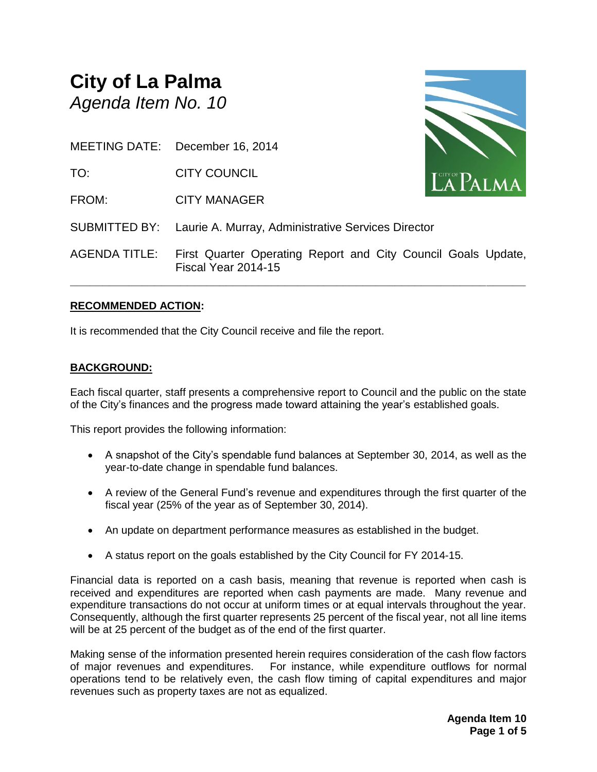# **City of La Palma** *Agenda Item No. 10*

MEETING DATE: December 16, 2014

TO: CITY COUNCIL

FROM: CITY MANAGER



SUBMITTED BY: Laurie A. Murray, Administrative Services Director

AGENDA TITLE: First Quarter Operating Report and City Council Goals Update, Fiscal Year 2014-15

**\_\_\_\_\_\_\_\_\_\_\_\_\_\_\_\_\_\_\_\_\_\_\_\_\_\_\_\_\_\_\_\_\_\_\_\_\_\_\_\_\_\_\_\_\_\_\_\_\_\_\_\_\_\_\_\_\_\_\_\_\_\_\_\_\_\_\_\_\_\_**

#### **RECOMMENDED ACTION:**

It is recommended that the City Council receive and file the report.

#### **BACKGROUND:**

Each fiscal quarter, staff presents a comprehensive report to Council and the public on the state of the City's finances and the progress made toward attaining the year's established goals.

This report provides the following information:

- A snapshot of the City's spendable fund balances at September 30, 2014, as well as the year-to-date change in spendable fund balances.
- A review of the General Fund's revenue and expenditures through the first quarter of the fiscal year (25% of the year as of September 30, 2014).
- An update on department performance measures as established in the budget.
- A status report on the goals established by the City Council for FY 2014-15.

Financial data is reported on a cash basis, meaning that revenue is reported when cash is received and expenditures are reported when cash payments are made. Many revenue and expenditure transactions do not occur at uniform times or at equal intervals throughout the year. Consequently, although the first quarter represents 25 percent of the fiscal year, not all line items will be at 25 percent of the budget as of the end of the first quarter.

Making sense of the information presented herein requires consideration of the cash flow factors of major revenues and expenditures. For instance, while expenditure outflows for normal operations tend to be relatively even, the cash flow timing of capital expenditures and major revenues such as property taxes are not as equalized.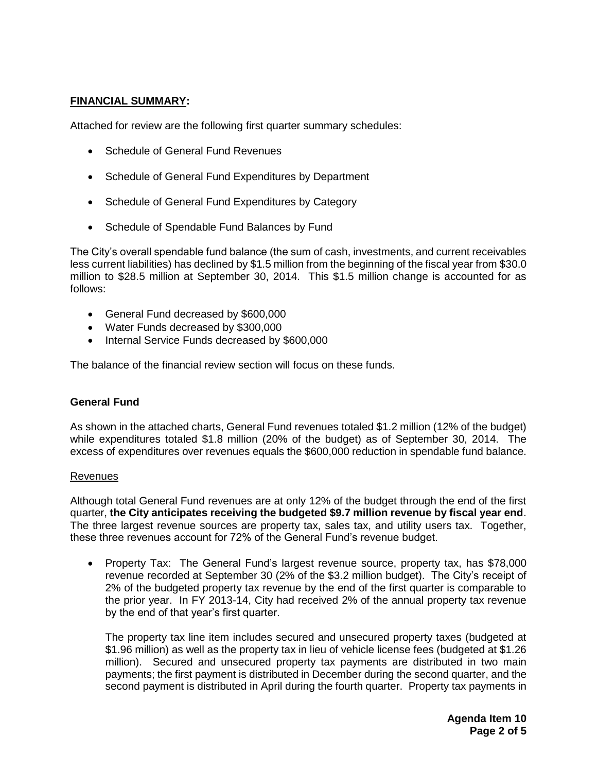#### **FINANCIAL SUMMARY:**

Attached for review are the following first quarter summary schedules:

- Schedule of General Fund Revenues
- Schedule of General Fund Expenditures by Department
- Schedule of General Fund Expenditures by Category
- Schedule of Spendable Fund Balances by Fund

The City's overall spendable fund balance (the sum of cash, investments, and current receivables less current liabilities) has declined by \$1.5 million from the beginning of the fiscal year from \$30.0 million to \$28.5 million at September 30, 2014. This \$1.5 million change is accounted for as follows:

- General Fund decreased by \$600,000
- Water Funds decreased by \$300,000
- Internal Service Funds decreased by \$600,000

The balance of the financial review section will focus on these funds.

#### **General Fund**

As shown in the attached charts, General Fund revenues totaled \$1.2 million (12% of the budget) while expenditures totaled \$1.8 million (20% of the budget) as of September 30, 2014. The excess of expenditures over revenues equals the \$600,000 reduction in spendable fund balance.

#### Revenues

Although total General Fund revenues are at only 12% of the budget through the end of the first quarter, **the City anticipates receiving the budgeted \$9.7 million revenue by fiscal year end**. The three largest revenue sources are property tax, sales tax, and utility users tax. Together, these three revenues account for 72% of the General Fund's revenue budget.

 Property Tax: The General Fund's largest revenue source, property tax, has \$78,000 revenue recorded at September 30 (2% of the \$3.2 million budget). The City's receipt of 2% of the budgeted property tax revenue by the end of the first quarter is comparable to the prior year. In FY 2013-14, City had received 2% of the annual property tax revenue by the end of that year's first quarter.

The property tax line item includes secured and unsecured property taxes (budgeted at \$1.96 million) as well as the property tax in lieu of vehicle license fees (budgeted at \$1.26 million). Secured and unsecured property tax payments are distributed in two main payments; the first payment is distributed in December during the second quarter, and the second payment is distributed in April during the fourth quarter. Property tax payments in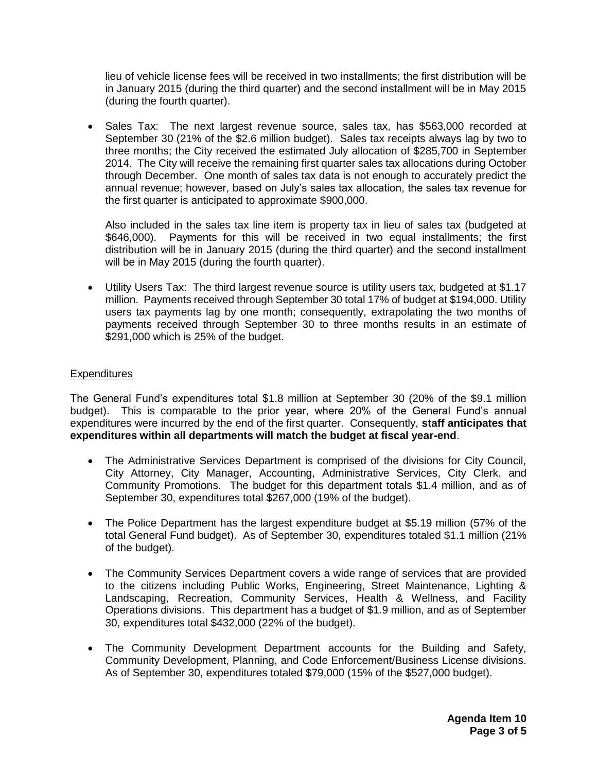lieu of vehicle license fees will be received in two installments; the first distribution will be in January 2015 (during the third quarter) and the second installment will be in May 2015 (during the fourth quarter).

• Sales Tax: The next largest revenue source, sales tax, has \$563,000 recorded at September 30 (21% of the \$2.6 million budget). Sales tax receipts always lag by two to three months; the City received the estimated July allocation of \$285,700 in September 2014. The City will receive the remaining first quarter sales tax allocations during October through December. One month of sales tax data is not enough to accurately predict the annual revenue; however, based on July's sales tax allocation, the sales tax revenue for the first quarter is anticipated to approximate \$900,000.

Also included in the sales tax line item is property tax in lieu of sales tax (budgeted at \$646,000). Payments for this will be received in two equal installments; the first distribution will be in January 2015 (during the third quarter) and the second installment will be in May 2015 (during the fourth quarter).

 Utility Users Tax: The third largest revenue source is utility users tax, budgeted at \$1.17 million. Payments received through September 30 total 17% of budget at \$194,000. Utility users tax payments lag by one month; consequently, extrapolating the two months of payments received through September 30 to three months results in an estimate of \$291,000 which is 25% of the budget.

#### **Expenditures**

The General Fund's expenditures total \$1.8 million at September 30 (20% of the \$9.1 million budget). This is comparable to the prior year, where 20% of the General Fund's annual expenditures were incurred by the end of the first quarter. Consequently, **staff anticipates that expenditures within all departments will match the budget at fiscal year-end**.

- The Administrative Services Department is comprised of the divisions for City Council, City Attorney, City Manager, Accounting, Administrative Services, City Clerk, and Community Promotions. The budget for this department totals \$1.4 million, and as of September 30, expenditures total \$267,000 (19% of the budget).
- The Police Department has the largest expenditure budget at \$5.19 million (57% of the total General Fund budget). As of September 30, expenditures totaled \$1.1 million (21% of the budget).
- The Community Services Department covers a wide range of services that are provided to the citizens including Public Works, Engineering, Street Maintenance, Lighting & Landscaping, Recreation, Community Services, Health & Wellness, and Facility Operations divisions. This department has a budget of \$1.9 million, and as of September 30, expenditures total \$432,000 (22% of the budget).
- The Community Development Department accounts for the Building and Safety, Community Development, Planning, and Code Enforcement/Business License divisions. As of September 30, expenditures totaled \$79,000 (15% of the \$527,000 budget).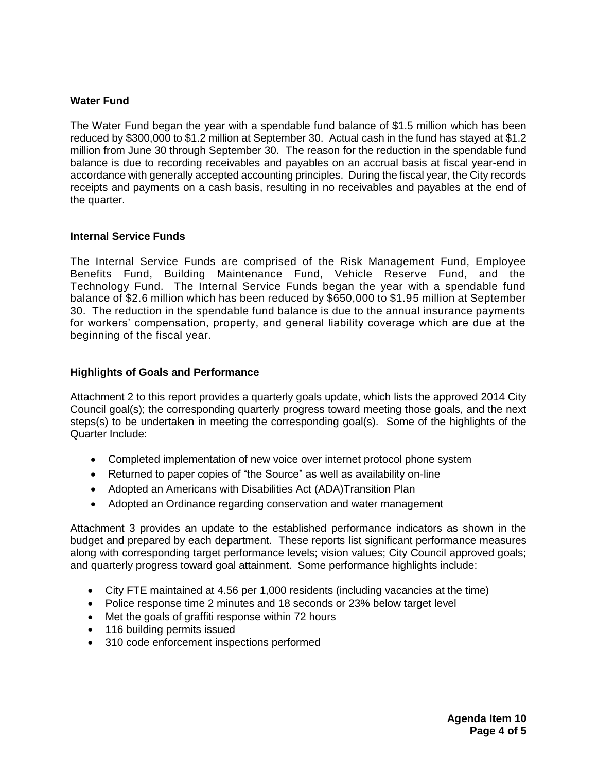#### **Water Fund**

The Water Fund began the year with a spendable fund balance of \$1.5 million which has been reduced by \$300,000 to \$1.2 million at September 30. Actual cash in the fund has stayed at \$1.2 million from June 30 through September 30. The reason for the reduction in the spendable fund balance is due to recording receivables and payables on an accrual basis at fiscal year-end in accordance with generally accepted accounting principles. During the fiscal year, the City records receipts and payments on a cash basis, resulting in no receivables and payables at the end of the quarter.

#### **Internal Service Funds**

The Internal Service Funds are comprised of the Risk Management Fund, Employee Benefits Fund, Building Maintenance Fund, Vehicle Reserve Fund, and the Technology Fund. The Internal Service Funds began the year with a spendable fund balance of \$2.6 million which has been reduced by \$650,000 to \$1.95 million at September 30. The reduction in the spendable fund balance is due to the annual insurance payments for workers' compensation, property, and general liability coverage which are due at the beginning of the fiscal year.

#### **Highlights of Goals and Performance**

Attachment 2 to this report provides a quarterly goals update, which lists the approved 2014 City Council goal(s); the corresponding quarterly progress toward meeting those goals, and the next steps(s) to be undertaken in meeting the corresponding goal(s). Some of the highlights of the Quarter Include:

- Completed implementation of new voice over internet protocol phone system
- Returned to paper copies of "the Source" as well as availability on-line
- Adopted an Americans with Disabilities Act (ADA)Transition Plan
- Adopted an Ordinance regarding conservation and water management

Attachment 3 provides an update to the established performance indicators as shown in the budget and prepared by each department. These reports list significant performance measures along with corresponding target performance levels; vision values; City Council approved goals; and quarterly progress toward goal attainment. Some performance highlights include:

- City FTE maintained at 4.56 per 1,000 residents (including vacancies at the time)
- Police response time 2 minutes and 18 seconds or 23% below target level
- Met the goals of graffiti response within 72 hours
- 116 building permits issued
- 310 code enforcement inspections performed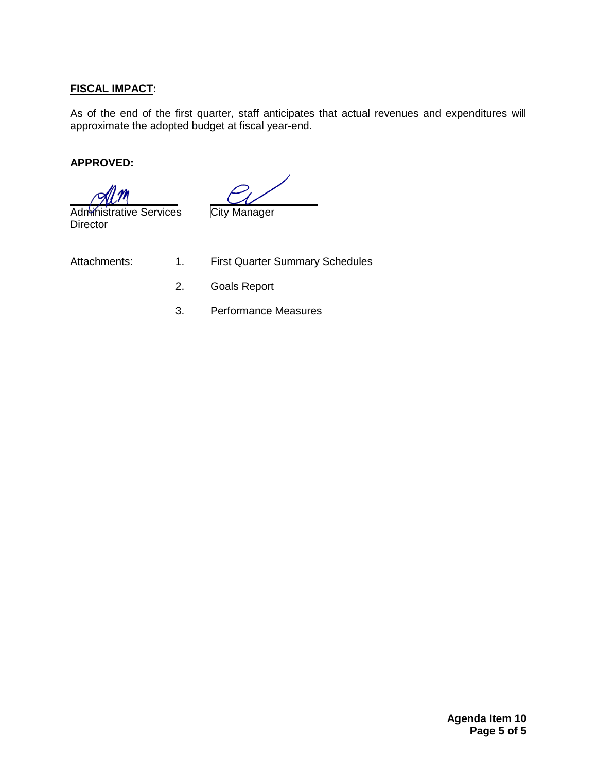#### **FISCAL IMPACT:**

As of the end of the first quarter, staff anticipates that actual revenues and expenditures will approximate the adopted budget at fiscal year-end.

#### **APPROVED:**

 Administrative Services City Manager **Director** 

- Attachments: 1. First Quarter Summary Schedules
	- 2. Goals Report
	- 3. Performance Measures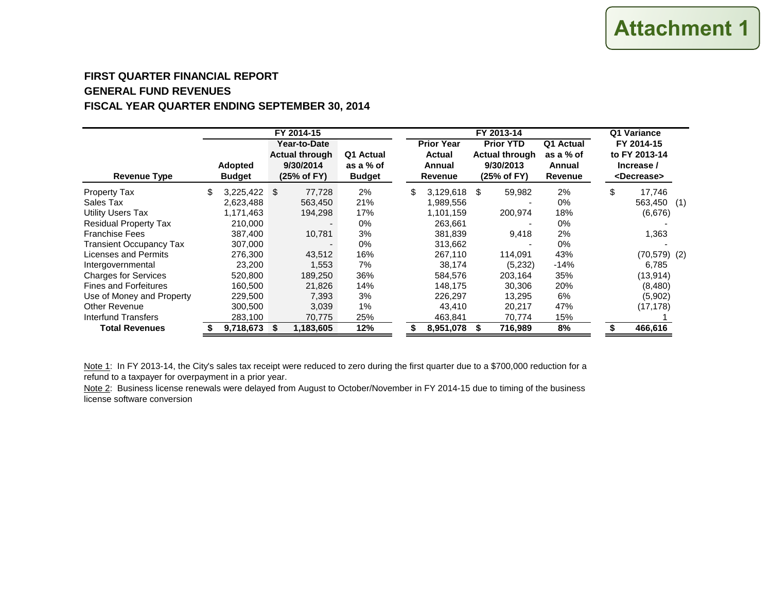#### **FIRST QUARTER FINANCIAL REPORTGENERAL FUND REVENUESFISCAL YEAR QUARTER ENDING SEPTEMBER 30, 2014**

|                                | FY 2014-15 |                          |  |                                                                   | FY 2013-14                              |    |                                                         |  |                                                                       | Q1 Variance                                        |    |                                                                    |  |
|--------------------------------|------------|--------------------------|--|-------------------------------------------------------------------|-----------------------------------------|----|---------------------------------------------------------|--|-----------------------------------------------------------------------|----------------------------------------------------|----|--------------------------------------------------------------------|--|
| <b>Revenue Type</b>            |            | Adopted<br><b>Budget</b> |  | Year-to-Date<br><b>Actual through</b><br>9/30/2014<br>(25% of FY) | Q1 Actual<br>as a % of<br><b>Budget</b> |    | <b>Prior Year</b><br><b>Actual</b><br>Annual<br>Revenue |  | <b>Prior YTD</b><br><b>Actual through</b><br>9/30/2013<br>(25% of FY) | Q1 Actual<br>as a % of<br>Annual<br><b>Revenue</b> |    | FY 2014-15<br>to FY 2013-14<br>Increase /<br><decrease></decrease> |  |
| <b>Property Tax</b>            | \$         | $3,225,422$ \$           |  | 77,728                                                            | 2%                                      | \$ | $3,129,618$ \$                                          |  | 59,982                                                                | 2%                                                 | \$ | 17,746                                                             |  |
| Sales Tax                      |            | 2,623,488                |  | 563,450                                                           | 21%                                     |    | 1,989,556                                               |  |                                                                       | 0%                                                 |    | 563,450 (1)                                                        |  |
| <b>Utility Users Tax</b>       |            | 1,171,463                |  | 194,298                                                           | 17%                                     |    | 1,101,159                                               |  | 200,974                                                               | 18%                                                |    | (6,676)                                                            |  |
| <b>Residual Property Tax</b>   |            | 210,000                  |  |                                                                   | $0\%$                                   |    | 263.661                                                 |  |                                                                       | 0%                                                 |    |                                                                    |  |
| <b>Franchise Fees</b>          |            | 387,400                  |  | 10,781                                                            | 3%                                      |    | 381.839                                                 |  | 9,418                                                                 | 2%                                                 |    | 1,363                                                              |  |
| <b>Transient Occupancy Tax</b> |            | 307,000                  |  |                                                                   | $0\%$                                   |    | 313,662                                                 |  |                                                                       | 0%                                                 |    |                                                                    |  |
| Licenses and Permits           |            | 276,300                  |  | 43,512                                                            | 16%                                     |    | 267.110                                                 |  | 114,091                                                               | 43%                                                |    | $(70, 579)$ (2)                                                    |  |
| Intergovernmental              |            | 23,200                   |  | 1,553                                                             | 7%                                      |    | 38,174                                                  |  | (5,232)                                                               | $-14%$                                             |    | 6.785                                                              |  |
| <b>Charges for Services</b>    |            | 520,800                  |  | 189,250                                                           | 36%                                     |    | 584,576                                                 |  | 203,164                                                               | 35%                                                |    | (13, 914)                                                          |  |
| <b>Fines and Forfeitures</b>   |            | 160.500                  |  | 21.826                                                            | 14%                                     |    | 148,175                                                 |  | 30.306                                                                | 20%                                                |    | (8,480)                                                            |  |
| Use of Money and Property      |            | 229,500                  |  | 7.393                                                             | 3%                                      |    | 226,297                                                 |  | 13.295                                                                | 6%                                                 |    | (5,902)                                                            |  |
| <b>Other Revenue</b>           |            | 300,500                  |  | 3,039                                                             | 1%                                      |    | 43,410                                                  |  | 20,217                                                                | 47%                                                |    | (17, 178)                                                          |  |
| Interfund Transfers            |            | 283,100                  |  | 70,775                                                            | 25%                                     |    | 463,841                                                 |  | 70,774                                                                | 15%                                                |    |                                                                    |  |
| <b>Total Revenues</b>          |            | 9,718,673                |  | 1,183,605                                                         | 12%                                     |    | 8,951,078                                               |  | 716,989                                                               | 8%                                                 |    | 466,616                                                            |  |

Note 1: In FY 2013-14, the City's sales tax receipt were reduced to zero during the first quarter due to a \$700,000 reduction for a refund to a taxpayer for overpayment in a prior year.

Note 2: Business license renewals were delayed from August to October/November in FY 2014-15 due to timing of the business license software conversion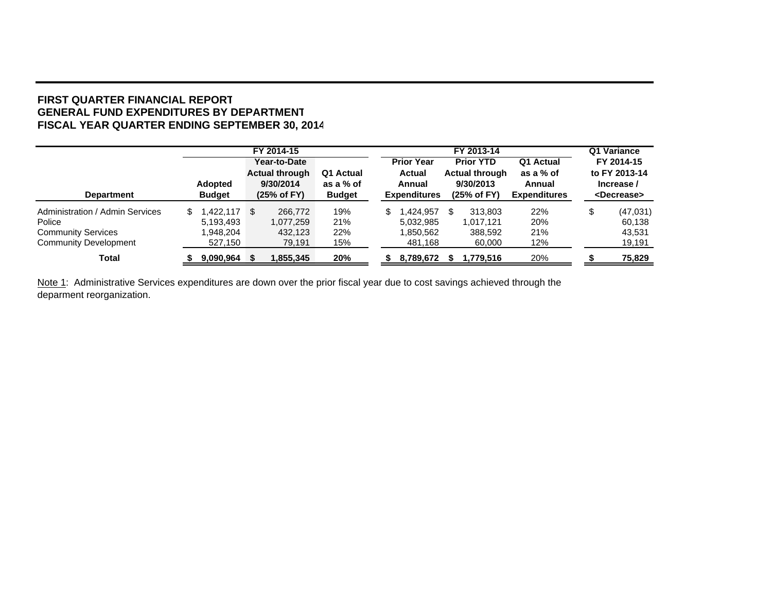#### **FIRST QUARTER FINANCIAL REPORTGENERAL FUND EXPENDITURES BY DEPARTMENT FISCAL YEAR QUARTER ENDING SEPTEMBER 30, 2014**

|                                 |                | FY 2014-15            |               |  |                     | FY 2013-14            |                     |            |                       |  |
|---------------------------------|----------------|-----------------------|---------------|--|---------------------|-----------------------|---------------------|------------|-----------------------|--|
|                                 |                | Year-to-Date          |               |  | <b>Prior Year</b>   | <b>Prior YTD</b>      | Q1 Actual           | FY 2014-15 |                       |  |
|                                 |                | <b>Actual through</b> | Q1 Actual     |  | <b>Actual</b>       | <b>Actual through</b> | as a % of           |            | to FY 2013-14         |  |
|                                 | <b>Adopted</b> | 9/30/2014             | as a % of     |  | Annual              | 9/30/2013             | Annual              |            | Increase /            |  |
| <b>Department</b>               | <b>Budget</b>  | (25% of FY)           | <b>Budget</b> |  | <b>Expenditures</b> | (25% of FY)           | <b>Expenditures</b> |            | <decrease></decrease> |  |
| Administration / Admin Services | S              | 266,772               | 19%           |  | .424.957<br>\$      | 313.803<br>\$         | 22%                 |            | (47,031)              |  |
| Police                          | 5,193,493      | 1.077.259             | 21%           |  | 5.032.985           | 1.017.121             | 20%                 |            | 60.138                |  |
| <b>Community Services</b>       | 1,948,204      | 432,123               | 22%           |  | 1,850,562           | 388,592               | 21%                 |            | 43,531                |  |
| <b>Community Development</b>    | 527,150        | 79,191                | 15%           |  | 481,168             | 60,000                | 12%                 |            | 19,191                |  |
| Total                           | 9,090,964      | 1,855,345             | 20%           |  | 8,789,672           | 1,779,516             | 20%                 |            | 75,829                |  |

Note 1: Administrative Services expenditures are down over the prior fiscal year due to cost savings achieved through the deparment reorganization.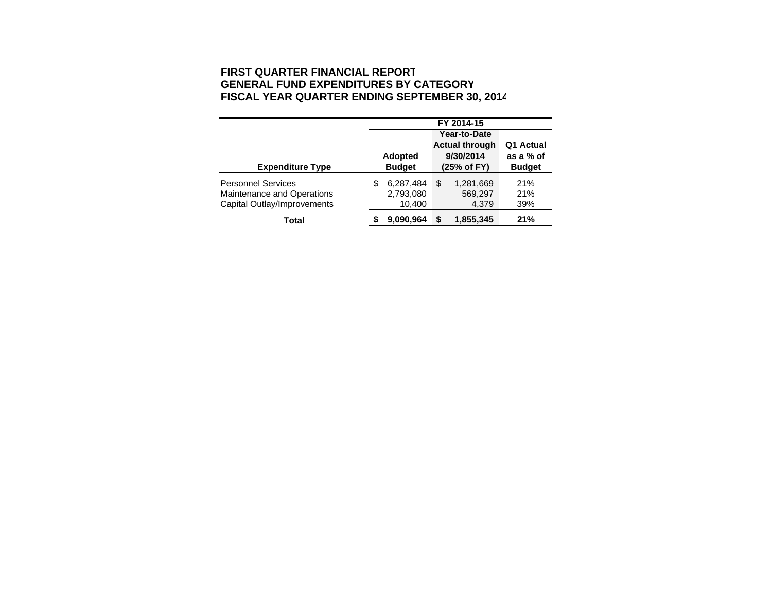#### **FIRST QUARTER FINANCIAL REPORT GENERAL FUND EXPENDITURES BY CATEGOR Y FISCAL YEAR QUARTER ENDING SEPTEMBER 30, 201 4**

|                                                                                        | FY 2014-15 |                                  |    |                                                                   |                                         |  |
|----------------------------------------------------------------------------------------|------------|----------------------------------|----|-------------------------------------------------------------------|-----------------------------------------|--|
| <b>Expenditure Type</b>                                                                |            | <b>Adopted</b><br><b>Budget</b>  |    | Year-to-Date<br><b>Actual through</b><br>9/30/2014<br>(25% of FY) | Q1 Actual<br>as a % of<br><b>Budget</b> |  |
| <b>Personnel Services</b><br>Maintenance and Operations<br>Capital Outlay/Improvements | S          | 6,287,484<br>2,793,080<br>10,400 | \$ | 1,281,669<br>569,297<br>4,379                                     | 21%<br>21%<br>39%                       |  |
| Total                                                                                  |            | 9.090.964                        |    | 1,855,345                                                         | 21%                                     |  |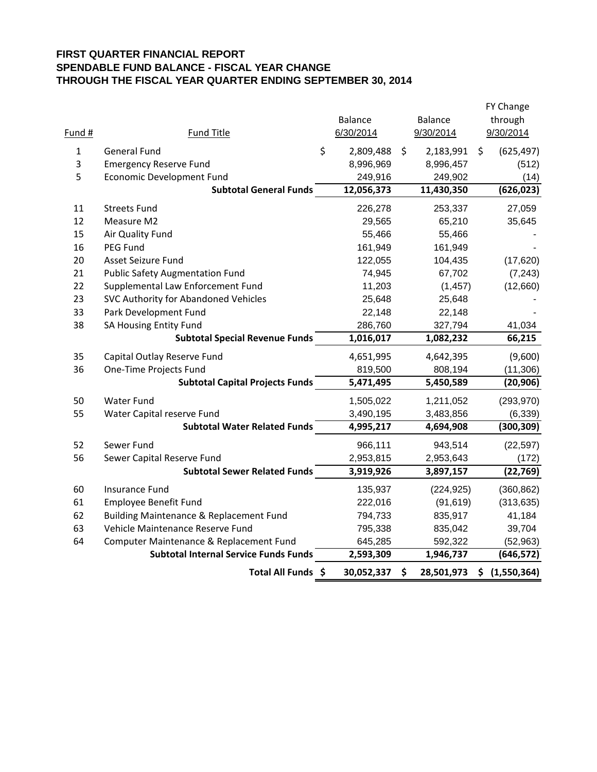#### **FIRST QUARTER FINANCIAL REPORT SPENDABLE FUND BALANCE - FISCAL YEAR CHANGE THROUGH THE FISCAL YEAR QUARTER ENDING SEPTEMBER 30, 2014**

| Fund #       | <b>Fund Title</b>                            | <b>Balance</b><br>6/30/2014 | <b>Balance</b><br>9/30/2014 | FY Change<br>through<br>9/30/2014 |
|--------------|----------------------------------------------|-----------------------------|-----------------------------|-----------------------------------|
| $\mathbf{1}$ | <b>General Fund</b>                          | \$<br>2,809,488             | \$<br>2,183,991             | \$<br>(625, 497)                  |
| 3            | <b>Emergency Reserve Fund</b>                | 8,996,969                   | 8,996,457                   | (512)                             |
| 5            | <b>Economic Development Fund</b>             | 249,916                     | 249,902                     | (14)                              |
|              | <b>Subtotal General Funds</b>                | 12,056,373                  | 11,430,350                  | (626, 023)                        |
| 11           | <b>Streets Fund</b>                          | 226,278                     | 253,337                     | 27,059                            |
| 12           | Measure M2                                   | 29,565                      | 65,210                      | 35,645                            |
| 15           | Air Quality Fund                             | 55,466                      | 55,466                      |                                   |
| 16           | PEG Fund                                     | 161,949                     |                             |                                   |
| 20           | Asset Seizure Fund                           | 122,055                     | (17, 620)                   |                                   |
| 21           | <b>Public Safety Augmentation Fund</b>       | 74,945                      | 104,435<br>67,702           | (7, 243)                          |
| 22           | Supplemental Law Enforcement Fund            | 11,203                      | (1, 457)                    | (12,660)                          |
| 23           | SVC Authority for Abandoned Vehicles         | 25,648                      | 25,648                      |                                   |
| 33           | Park Development Fund                        | 22,148                      | 22,148                      |                                   |
| 38           | SA Housing Entity Fund                       | 286,760                     | 327,794                     | 41,034                            |
|              | <b>Subtotal Special Revenue Funds</b>        | 1,016,017                   | 1,082,232                   | 66,215                            |
| 35           | Capital Outlay Reserve Fund                  | 4,651,995                   | 4,642,395                   | (9,600)                           |
| 36           | One-Time Projects Fund                       | 819,500                     | 808,194                     | (11, 306)                         |
|              | <b>Subtotal Capital Projects Funds</b>       | 5,471,495                   | 5,450,589                   | (20, 906)                         |
| 50           | <b>Water Fund</b>                            | 1,505,022                   | 1,211,052                   | (293, 970)                        |
| 55           | Water Capital reserve Fund                   | 3,490,195                   | 3,483,856                   | (6, 339)                          |
|              | <b>Subtotal Water Related Funds</b>          | 4,995,217                   | 4,694,908                   | (300, 309)                        |
| 52           | Sewer Fund                                   | 966,111                     | 943,514                     | (22, 597)                         |
| 56           | Sewer Capital Reserve Fund                   | 2,953,815                   | 2,953,643                   | (172)                             |
|              | <b>Subtotal Sewer Related Funds</b>          | 3,919,926                   | 3,897,157                   | (22, 769)                         |
| 60           | Insurance Fund                               | 135,937                     | (224, 925)                  | (360, 862)                        |
| 61           | Employee Benefit Fund                        | 222,016                     | (91, 619)                   | (313, 635)                        |
| 62           | Building Maintenance & Replacement Fund      | 794,733                     | 835,917                     | 41,184                            |
| 63           | Vehicle Maintenance Reserve Fund             | 795,338                     | 835,042                     | 39,704                            |
| 64           | Computer Maintenance & Replacement Fund      | 645,285                     | 592,322                     | (52, 963)                         |
|              | <b>Subtotal Internal Service Funds Funds</b> | 2,593,309                   | 1,946,737                   | (646, 572)                        |
|              |                                              |                             |                             |                                   |
|              | Total All Funds \$                           | 30,052,337                  | \$<br>28,501,973            | \$<br>(1,550,364)                 |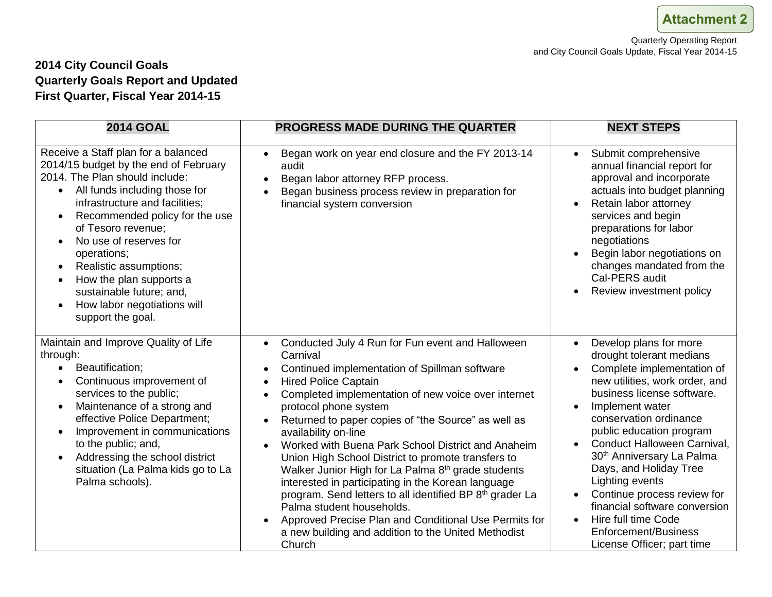#### **2014 City Council Goals Quarterly Goals Report and Updated First Quarter, Fiscal Year 2014-15**

| <b>2014 GOAL</b>                                                                                                                                                                                                                                                                                                                                                                                                                                               | <b>PROGRESS MADE DURING THE QUARTER</b>                                                                                                                                                                                                                                                                                                                                                                                                                                                                                                                                                                                                                                                                                                                                                                                                                                   | <b>NEXT STEPS</b>                                                                                                                                                                                                                                                                                                                                                                                                                                                                                                                               |
|----------------------------------------------------------------------------------------------------------------------------------------------------------------------------------------------------------------------------------------------------------------------------------------------------------------------------------------------------------------------------------------------------------------------------------------------------------------|---------------------------------------------------------------------------------------------------------------------------------------------------------------------------------------------------------------------------------------------------------------------------------------------------------------------------------------------------------------------------------------------------------------------------------------------------------------------------------------------------------------------------------------------------------------------------------------------------------------------------------------------------------------------------------------------------------------------------------------------------------------------------------------------------------------------------------------------------------------------------|-------------------------------------------------------------------------------------------------------------------------------------------------------------------------------------------------------------------------------------------------------------------------------------------------------------------------------------------------------------------------------------------------------------------------------------------------------------------------------------------------------------------------------------------------|
| Receive a Staff plan for a balanced<br>2014/15 budget by the end of February<br>2014. The Plan should include:<br>All funds including those for<br>infrastructure and facilities;<br>Recommended policy for the use<br>$\bullet$<br>of Tesoro revenue;<br>No use of reserves for<br>operations;<br>Realistic assumptions;<br>$\bullet$<br>How the plan supports a<br>$\bullet$<br>sustainable future; and,<br>How labor negotiations will<br>support the goal. | Began work on year end closure and the FY 2013-14<br>$\bullet$<br>audit<br>Began labor attorney RFP process.<br>$\bullet$<br>Began business process review in preparation for<br>$\bullet$<br>financial system conversion                                                                                                                                                                                                                                                                                                                                                                                                                                                                                                                                                                                                                                                 | Submit comprehensive<br>$\bullet$<br>annual financial report for<br>approval and incorporate<br>actuals into budget planning<br>Retain labor attorney<br>services and begin<br>preparations for labor<br>negotiations<br>Begin labor negotiations on<br>changes mandated from the<br>Cal-PERS audit<br>Review investment policy<br>$\bullet$                                                                                                                                                                                                    |
| Maintain and Improve Quality of Life<br>through:<br>Beautification;<br>$\bullet$<br>Continuous improvement of<br>services to the public;<br>Maintenance of a strong and<br>$\bullet$<br>effective Police Department;<br>Improvement in communications<br>to the public; and,<br>Addressing the school district<br>$\bullet$<br>situation (La Palma kids go to La<br>Palma schools).                                                                            | Conducted July 4 Run for Fun event and Halloween<br>$\bullet$<br>Carnival<br>Continued implementation of Spillman software<br>$\bullet$<br><b>Hired Police Captain</b><br>$\bullet$<br>Completed implementation of new voice over internet<br>$\bullet$<br>protocol phone system<br>Returned to paper copies of "the Source" as well as<br>$\bullet$<br>availability on-line<br>Worked with Buena Park School District and Anaheim<br>$\bullet$<br>Union High School District to promote transfers to<br>Walker Junior High for La Palma 8 <sup>th</sup> grade students<br>interested in participating in the Korean language<br>program. Send letters to all identified BP 8 <sup>th</sup> grader La<br>Palma student households.<br>Approved Precise Plan and Conditional Use Permits for<br>$\bullet$<br>a new building and addition to the United Methodist<br>Church | Develop plans for more<br>$\bullet$<br>drought tolerant medians<br>Complete implementation of<br>$\bullet$<br>new utilities, work order, and<br>business license software.<br>Implement water<br>conservation ordinance<br>public education program<br>Conduct Halloween Carnival,<br>$\bullet$<br>30 <sup>th</sup> Anniversary La Palma<br>Days, and Holiday Tree<br>Lighting events<br>Continue process review for<br>financial software conversion<br>Hire full time Code<br>$\bullet$<br>Enforcement/Business<br>License Officer; part time |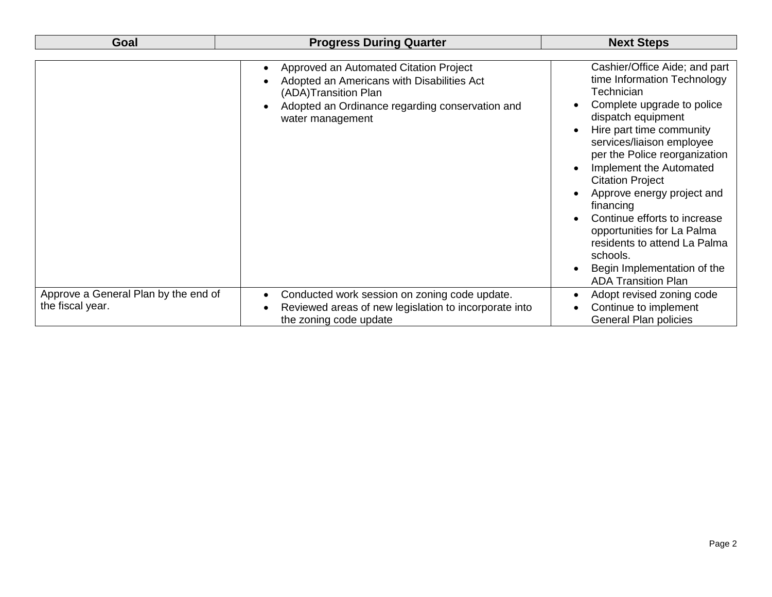| Goal                                                     | <b>Progress During Quarter</b>                                                                                                                                                                                | <b>Next Steps</b>                                                                                                                                                                                                                                                                                                                                                                                                                                                                                             |
|----------------------------------------------------------|---------------------------------------------------------------------------------------------------------------------------------------------------------------------------------------------------------------|---------------------------------------------------------------------------------------------------------------------------------------------------------------------------------------------------------------------------------------------------------------------------------------------------------------------------------------------------------------------------------------------------------------------------------------------------------------------------------------------------------------|
|                                                          | Approved an Automated Citation Project<br>$\bullet$<br>Adopted an Americans with Disabilities Act<br>(ADA)Transition Plan<br>Adopted an Ordinance regarding conservation and<br>$\bullet$<br>water management | Cashier/Office Aide; and part<br>time Information Technology<br>Technician<br>Complete upgrade to police<br>dispatch equipment<br>Hire part time community<br>services/liaison employee<br>per the Police reorganization<br>Implement the Automated<br>$\bullet$<br><b>Citation Project</b><br>Approve energy project and<br>financing<br>Continue efforts to increase<br>opportunities for La Palma<br>residents to attend La Palma<br>schools.<br>Begin Implementation of the<br><b>ADA Transition Plan</b> |
| Approve a General Plan by the end of<br>the fiscal year. | Conducted work session on zoning code update.<br>$\bullet$<br>Reviewed areas of new legislation to incorporate into<br>$\bullet$<br>the zoning code update                                                    | Adopt revised zoning code<br>$\bullet$<br>Continue to implement<br><b>General Plan policies</b>                                                                                                                                                                                                                                                                                                                                                                                                               |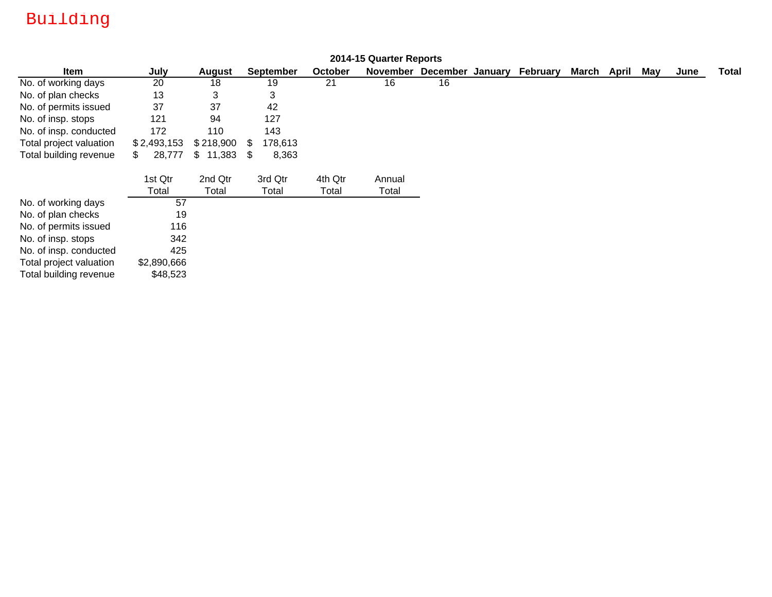# Building

|                         |              |           |                  |         | 2014-15 Quarter Reports |          |         |          |       |       |     |      |              |
|-------------------------|--------------|-----------|------------------|---------|-------------------------|----------|---------|----------|-------|-------|-----|------|--------------|
| <b>Item</b>             | July         | August    | <b>September</b> | October | November                | December | January | February | March | April | May | June | <b>Total</b> |
| No. of working days     | 20           | 18        | 19               | 21      | 16                      | 16       |         |          |       |       |     |      |              |
| No. of plan checks      | 13           | 3         | 3                |         |                         |          |         |          |       |       |     |      |              |
| No. of permits issued   | 37           | 37        | 42               |         |                         |          |         |          |       |       |     |      |              |
| No. of insp. stops      | 121          | 94        | 127              |         |                         |          |         |          |       |       |     |      |              |
| No. of insp. conducted  | 172          | 110       | 143              |         |                         |          |         |          |       |       |     |      |              |
| Total project valuation | \$2,493,153  | \$218,900 | 178,613<br>- \$  |         |                         |          |         |          |       |       |     |      |              |
| Total building revenue  | 28,777<br>\$ | \$11,383  | 8,363<br>- \$    |         |                         |          |         |          |       |       |     |      |              |
|                         | 1st Qtr      | 2nd Qtr   | 3rd Qtr          | 4th Qtr | Annual                  |          |         |          |       |       |     |      |              |
|                         | Total        | Total     | Total            | Total   | Total                   |          |         |          |       |       |     |      |              |
| No. of working days     | 57           |           |                  |         |                         |          |         |          |       |       |     |      |              |
| No. of plan checks      | 19           |           |                  |         |                         |          |         |          |       |       |     |      |              |
| No. of permits issued   | 116          |           |                  |         |                         |          |         |          |       |       |     |      |              |
| No. of insp. stops      | 342          |           |                  |         |                         |          |         |          |       |       |     |      |              |
| No. of insp. conducted  | 425          |           |                  |         |                         |          |         |          |       |       |     |      |              |
| Total project valuation | \$2,890,666  |           |                  |         |                         |          |         |          |       |       |     |      |              |
| Total building revenue  | \$48,523     |           |                  |         |                         |          |         |          |       |       |     |      |              |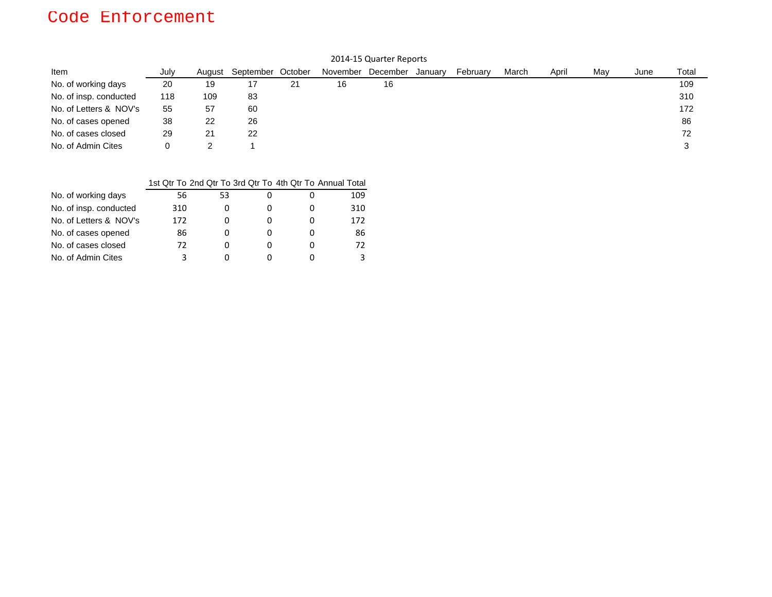## Code Enforcement

| 2014-15 Quarter Reports |      |        |                   |    |          |          |         |          |       |       |     |      |       |
|-------------------------|------|--------|-------------------|----|----------|----------|---------|----------|-------|-------|-----|------|-------|
| Item                    | July | August | September October |    | November | December | January | February | March | April | May | June | Total |
| No. of working days     | 20   | 19     | 17                | 21 | 16       | 16       |         |          |       |       |     |      | 109   |
| No. of insp. conducted  | 118  | 109    | 83                |    |          |          |         |          |       |       |     |      | 310   |
| No. of Letters & NOV's  | 55   | 57     | 60                |    |          |          |         |          |       |       |     |      | 172   |
| No. of cases opened     | 38   | 22     | 26                |    |          |          |         |          |       |       |     |      | 86    |
| No. of cases closed     | 29   | 21     | 22                |    |          |          |         |          |       |       |     |      | 72    |
| No. of Admin Cites      | 0    |        |                   |    |          |          |         |          |       |       |     |      |       |

|                        |     |    |          | 1st Qtr To 2nd Qtr To 3rd Qtr To 4th Qtr To Annual Total |
|------------------------|-----|----|----------|----------------------------------------------------------|
| No. of working days    | 56  | 53 |          | 109                                                      |
| No. of insp. conducted | 310 |    |          | 310                                                      |
| No. of Letters & NOV's | 172 |    |          | 172                                                      |
| No. of cases opened    | 86  |    |          | 86                                                       |
| No. of cases closed    | 72  | O  | $\Omega$ | 72                                                       |
| No. of Admin Cites     |     |    |          |                                                          |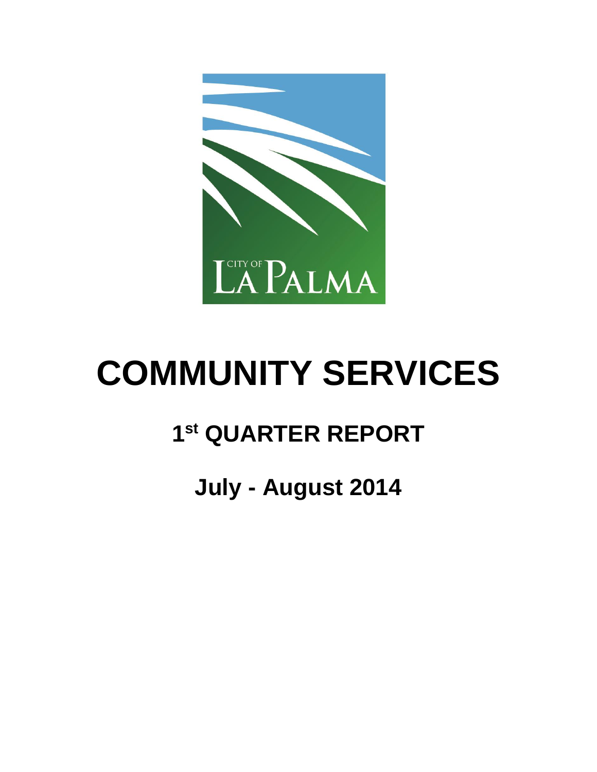

# **COMMUNITY SERVICES**

# **1 st QUARTER REPORT**

# **July - August 2014**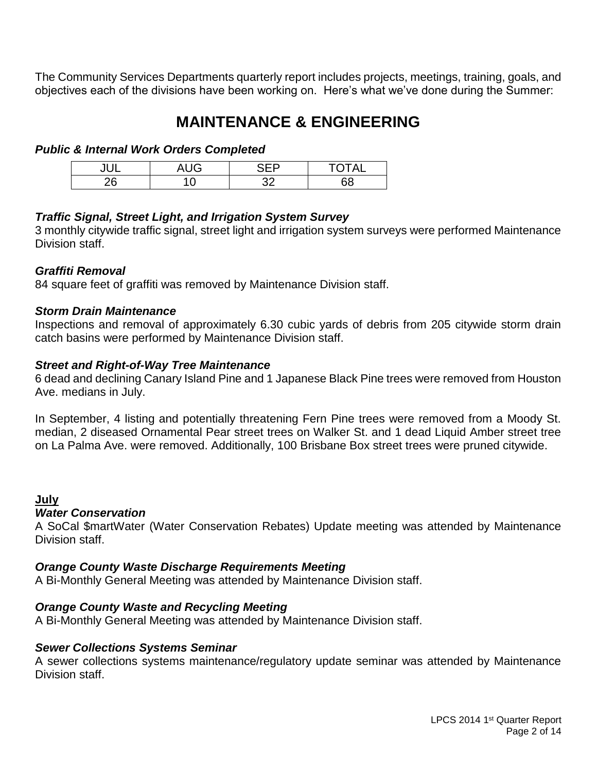The Community Services Departments quarterly report includes projects, meetings, training, goals, and objectives each of the divisions have been working on. Here's what we've done during the Summer:

### **MAINTENANCE & ENGINEERING**

#### *Public & Internal Work Orders Completed*

| ш             | $\sim$ 1.10<br>v | -- | $\bigcap$ T $\bigcap$ |
|---------------|------------------|----|-----------------------|
| ንድ<br>$ \sim$ |                  |    | י                     |

#### *Traffic Signal, Street Light, and Irrigation System Survey*

3 monthly citywide traffic signal, street light and irrigation system surveys were performed Maintenance Division staff.

#### *Graffiti Removal*

84 square feet of graffiti was removed by Maintenance Division staff.

#### *Storm Drain Maintenance*

Inspections and removal of approximately 6.30 cubic yards of debris from 205 citywide storm drain catch basins were performed by Maintenance Division staff.

#### *Street and Right-of-Way Tree Maintenance*

6 dead and declining Canary Island Pine and 1 Japanese Black Pine trees were removed from Houston Ave. medians in July.

In September, 4 listing and potentially threatening Fern Pine trees were removed from a Moody St. median, 2 diseased Ornamental Pear street trees on Walker St. and 1 dead Liquid Amber street tree on La Palma Ave. were removed. Additionally, 100 Brisbane Box street trees were pruned citywide.

#### **July**

#### *Water Conservation*

A SoCal \$martWater (Water Conservation Rebates) Update meeting was attended by Maintenance Division staff.

#### *Orange County Waste Discharge Requirements Meeting*

A Bi-Monthly General Meeting was attended by Maintenance Division staff.

#### *Orange County Waste and Recycling Meeting*

A Bi-Monthly General Meeting was attended by Maintenance Division staff.

#### *Sewer Collections Systems Seminar*

A sewer collections systems maintenance/regulatory update seminar was attended by Maintenance Division staff.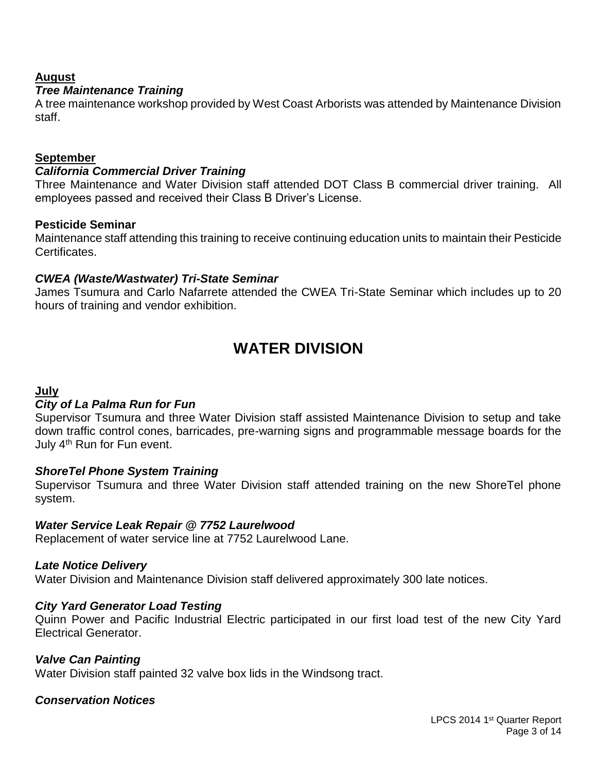#### **August**

#### *Tree Maintenance Training*

A tree maintenance workshop provided by West Coast Arborists was attended by Maintenance Division staff.

#### **September**

#### *California Commercial Driver Training*

Three Maintenance and Water Division staff attended DOT Class B commercial driver training. All employees passed and received their Class B Driver's License.

#### **Pesticide Seminar**

Maintenance staff attending this training to receive continuing education units to maintain their Pesticide Certificates.

#### *CWEA (Waste/Wastwater) Tri-State Seminar*

James Tsumura and Carlo Nafarrete attended the CWEA Tri-State Seminar which includes up to 20 hours of training and vendor exhibition.

### **WATER DIVISION**

#### **July**

#### *City of La Palma Run for Fun*

Supervisor Tsumura and three Water Division staff assisted Maintenance Division to setup and take down traffic control cones, barricades, pre-warning signs and programmable message boards for the July 4<sup>th</sup> Run for Fun event.

#### *ShoreTel Phone System Training*

Supervisor Tsumura and three Water Division staff attended training on the new ShoreTel phone system.

#### *Water Service Leak Repair @ 7752 Laurelwood*

Replacement of water service line at 7752 Laurelwood Lane.

#### *Late Notice Delivery*

Water Division and Maintenance Division staff delivered approximately 300 late notices.

#### *City Yard Generator Load Testing*

Quinn Power and Pacific Industrial Electric participated in our first load test of the new City Yard Electrical Generator.

#### *Valve Can Painting*

Water Division staff painted 32 valve box lids in the Windsong tract.

#### *Conservation Notices*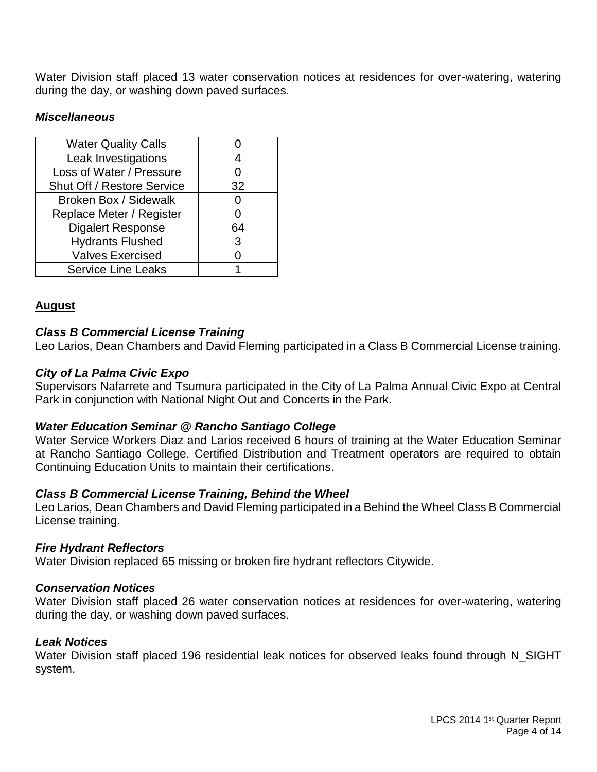Water Division staff placed 13 water conservation notices at residences for over-watering, watering during the day, or washing down paved surfaces.

#### *Miscellaneous*

| <b>Water Quality Calls</b>        |    |
|-----------------------------------|----|
| Leak Investigations               |    |
| Loss of Water / Pressure          |    |
| <b>Shut Off / Restore Service</b> | 32 |
| <b>Broken Box / Sidewalk</b>      | O  |
| Replace Meter / Register          | 0  |
| <b>Digalert Response</b>          | 64 |
| <b>Hydrants Flushed</b>           | 3  |
| <b>Valves Exercised</b>           |    |
| <b>Service Line Leaks</b>         |    |

#### **August**

#### *Class B Commercial License Training*

Leo Larios, Dean Chambers and David Fleming participated in a Class B Commercial License training.

#### *City of La Palma Civic Expo*

Supervisors Nafarrete and Tsumura participated in the City of La Palma Annual Civic Expo at Central Park in conjunction with National Night Out and Concerts in the Park.

#### *Water Education Seminar @ Rancho Santiago College*

Water Service Workers Diaz and Larios received 6 hours of training at the Water Education Seminar at Rancho Santiago College. Certified Distribution and Treatment operators are required to obtain Continuing Education Units to maintain their certifications.

#### *Class B Commercial License Training, Behind the Wheel*

Leo Larios, Dean Chambers and David Fleming participated in a Behind the Wheel Class B Commercial License training.

#### *Fire Hydrant Reflectors*

Water Division replaced 65 missing or broken fire hydrant reflectors Citywide.

#### *Conservation Notices*

Water Division staff placed 26 water conservation notices at residences for over-watering, watering during the day, or washing down paved surfaces.

#### *Leak Notices*

Water Division staff placed 196 residential leak notices for observed leaks found through N\_SIGHT system.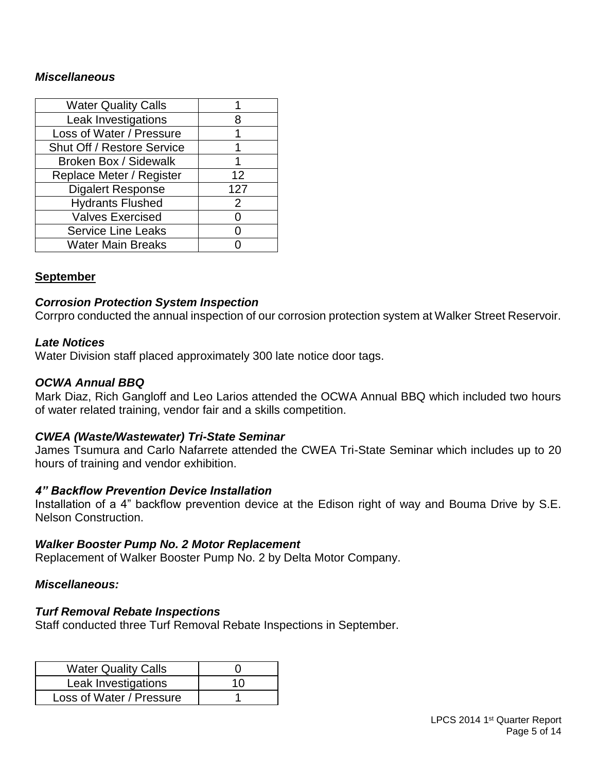#### *Miscellaneous*

| <b>Water Quality Calls</b>   |     |
|------------------------------|-----|
| Leak Investigations          | 8   |
| Loss of Water / Pressure     |     |
| Shut Off / Restore Service   |     |
| <b>Broken Box / Sidewalk</b> | 1   |
| Replace Meter / Register     | 12  |
| <b>Digalert Response</b>     | 127 |
| <b>Hydrants Flushed</b>      | 2   |
| <b>Valves Exercised</b>      |     |
| <b>Service Line Leaks</b>    |     |
| <b>Water Main Breaks</b>     |     |

#### **September**

#### *Corrosion Protection System Inspection*

Corrpro conducted the annual inspection of our corrosion protection system at Walker Street Reservoir.

#### *Late Notices*

Water Division staff placed approximately 300 late notice door tags.

#### *OCWA Annual BBQ*

Mark Diaz, Rich Gangloff and Leo Larios attended the OCWA Annual BBQ which included two hours of water related training, vendor fair and a skills competition.

#### *CWEA (Waste/Wastewater) Tri-State Seminar*

James Tsumura and Carlo Nafarrete attended the CWEA Tri-State Seminar which includes up to 20 hours of training and vendor exhibition.

#### *4" Backflow Prevention Device Installation*

Installation of a 4" backflow prevention device at the Edison right of way and Bouma Drive by S.E. Nelson Construction.

#### *Walker Booster Pump No. 2 Motor Replacement*

Replacement of Walker Booster Pump No. 2 by Delta Motor Company.

#### *Miscellaneous:*

#### *Turf Removal Rebate Inspections*

Staff conducted three Turf Removal Rebate Inspections in September.

| <b>Water Quality Calls</b> |    |
|----------------------------|----|
| Leak Investigations        | 10 |
| Loss of Water / Pressure   |    |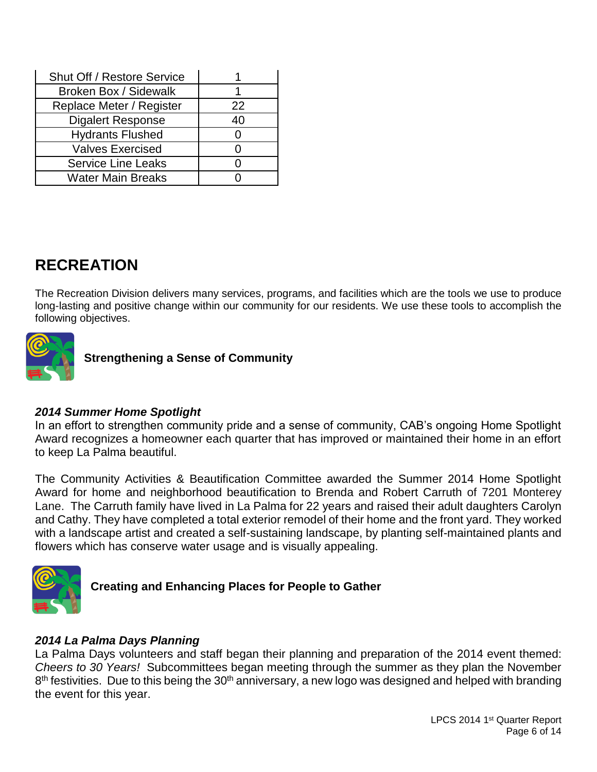| Shut Off / Restore Service |    |
|----------------------------|----|
| Broken Box / Sidewalk      |    |
| Replace Meter / Register   | 22 |
| <b>Digalert Response</b>   | 40 |
| <b>Hydrants Flushed</b>    |    |
| <b>Valves Exercised</b>    |    |
| <b>Service Line Leaks</b>  |    |
| <b>Water Main Breaks</b>   |    |

# **RECREATION**

The Recreation Division delivers many services, programs, and facilities which are the tools we use to produce long-lasting and positive change within our community for our residents. We use these tools to accomplish the following objectives.



**Strengthening a Sense of Community**

#### *2014 Summer Home Spotlight*

In an effort to strengthen community pride and a sense of community, CAB's ongoing Home Spotlight Award recognizes a homeowner each quarter that has improved or maintained their home in an effort to keep La Palma beautiful.

The Community Activities & Beautification Committee awarded the Summer 2014 Home Spotlight Award for home and neighborhood beautification to Brenda and Robert Carruth of 7201 Monterey Lane. The Carruth family have lived in La Palma for 22 years and raised their adult daughters Carolyn and Cathy. They have completed a total exterior remodel of their home and the front yard. They worked with a landscape artist and created a self-sustaining landscape, by planting self-maintained plants and flowers which has conserve water usage and is visually appealing.



#### **Creating and Enhancing Places for People to Gather**

#### *2014 La Palma Days Planning*

La Palma Days volunteers and staff began their planning and preparation of the 2014 event themed: *Cheers to 30 Years!* Subcommittees began meeting through the summer as they plan the November 8<sup>th</sup> festivities. Due to this being the 30<sup>th</sup> anniversary, a new logo was designed and helped with branding the event for this year.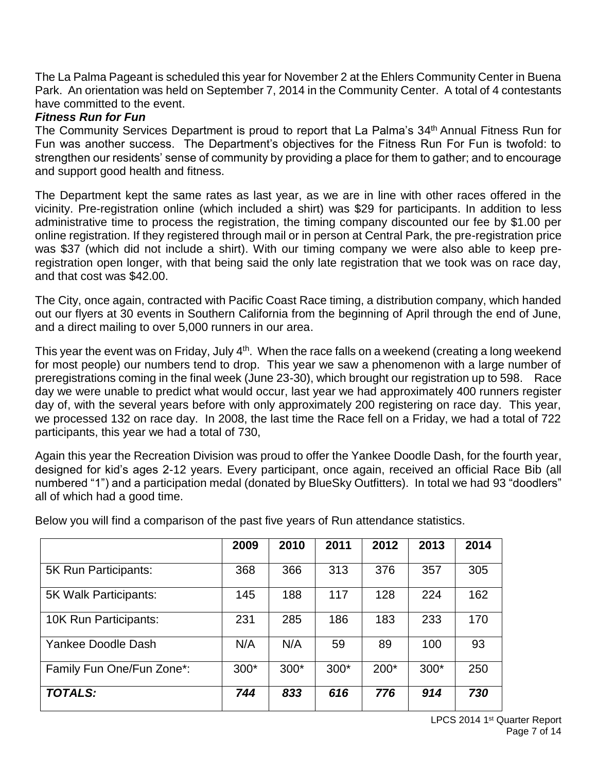The La Palma Pageant is scheduled this year for November 2 at the Ehlers Community Center in Buena Park. An orientation was held on September 7, 2014 in the Community Center. A total of 4 contestants have committed to the event.

#### *Fitness Run for Fun*

The Community Services Department is proud to report that La Palma's 34<sup>th</sup> Annual Fitness Run for Fun was another success. The Department's objectives for the Fitness Run For Fun is twofold: to strengthen our residents' sense of community by providing a place for them to gather; and to encourage and support good health and fitness.

The Department kept the same rates as last year, as we are in line with other races offered in the vicinity. Pre-registration online (which included a shirt) was \$29 for participants. In addition to less administrative time to process the registration, the timing company discounted our fee by \$1.00 per online registration. If they registered through mail or in person at Central Park, the pre-registration price was \$37 (which did not include a shirt). With our timing company we were also able to keep preregistration open longer, with that being said the only late registration that we took was on race day, and that cost was \$42.00.

The City, once again, contracted with Pacific Coast Race timing, a distribution company, which handed out our flyers at 30 events in Southern California from the beginning of April through the end of June, and a direct mailing to over 5,000 runners in our area.

This year the event was on Friday, July 4<sup>th</sup>. When the race falls on a weekend (creating a long weekend for most people) our numbers tend to drop. This year we saw a phenomenon with a large number of preregistrations coming in the final week (June 23-30), which brought our registration up to 598. Race day we were unable to predict what would occur, last year we had approximately 400 runners register day of, with the several years before with only approximately 200 registering on race day. This year, we processed 132 on race day. In 2008, the last time the Race fell on a Friday, we had a total of 722 participants, this year we had a total of 730,

Again this year the Recreation Division was proud to offer the Yankee Doodle Dash, for the fourth year, designed for kid's ages 2-12 years. Every participant, once again, received an official Race Bib (all numbered "1") and a participation medal (donated by BlueSky Outfitters). In total we had 93 "doodlers" all of which had a good time.

|                           | 2009   | 2010   | 2011 | 2012 | 2013 | 2014 |
|---------------------------|--------|--------|------|------|------|------|
| 5K Run Participants:      | 368    | 366    | 313  | 376  | 357  | 305  |
| 5K Walk Participants:     | 145    | 188    | 117  | 128  | 224  | 162  |
| 10K Run Participants:     | 231    | 285    | 186  | 183  | 233  | 170  |
| Yankee Doodle Dash        | N/A    | N/A    | 59   | 89   | 100  | 93   |
| Family Fun One/Fun Zone*: | $300*$ | $300*$ | 300* | 200* | 300* | 250  |
| <b>TOTALS:</b>            | 744    | 833    | 616  | 776  | 914  | 730  |

Below you will find a comparison of the past five years of Run attendance statistics.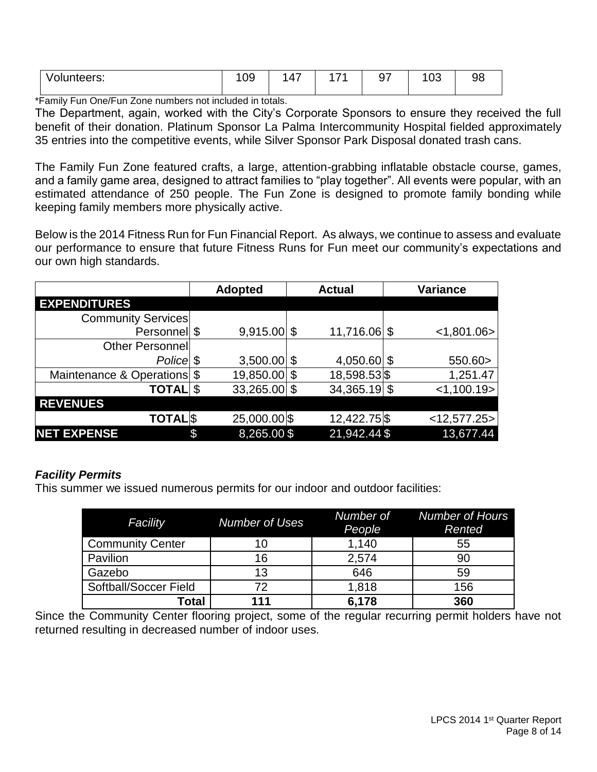| .<br>volunteers: | nn.<br>◡◡ | $\overline{\phantom{a}}$<br>_ | $\sim$ $\sim$ | $\sim$<br>. .<br>. . | $\sim$<br>vu |  |
|------------------|-----------|-------------------------------|---------------|----------------------|--------------|--|
|                  |           |                               |               |                      |              |  |

\*Family Fun One/Fun Zone numbers not included in totals.

The Department, again, worked with the City's Corporate Sponsors to ensure they received the full benefit of their donation. Platinum Sponsor La Palma Intercommunity Hospital fielded approximately 35 entries into the competitive events, while Silver Sponsor Park Disposal donated trash cans.

The Family Fun Zone featured crafts, a large, attention-grabbing inflatable obstacle course, games, and a family game area, designed to attract families to "play together". All events were popular, with an estimated attendance of 250 people. The Fun Zone is designed to promote family bonding while keeping family members more physically active.

Below is the 2014 Fitness Run for Fun Financial Report. As always, we continue to assess and evaluate our performance to ensure that future Fitness Runs for Fun meet our community's expectations and our own high standards.

|                             | <b>Adopted</b>       | <b>Actual</b>  | <b>Variance</b> |
|-----------------------------|----------------------|----------------|-----------------|
| <b>EXPENDITURES</b>         |                      |                |                 |
| <b>Community Services</b>   |                      |                |                 |
| Personnel \$                | $9,915.00$ \$        | 11,716.06 \$   | < 1,801.06      |
| Other Personnel             |                      |                |                 |
| Police \$                   | $3,500.00$ \$        | 4,050.60 \$    | 550.60>         |
| Maintenance & Operations \$ | 19,850.00            | 18,598.53 \$   | 1,251.47        |
| <b>TOTAL</b>                | \$<br>$33,265.00$ \$ | $34,365.19$ \$ | < 1,100.19      |
| <b>REVENUES</b>             |                      |                |                 |
| <b>TOTAL</b> S              | 25,000.00 \$         | 12,422.75 \$   | $<$ 12,577.25>  |
| <b>NET EXPENSE</b>          | \$<br>8,265.00\$     | 21,942.44 \$   | 13,677.44       |

#### *Facility Permits*

This summer we issued numerous permits for our indoor and outdoor facilities:

| Facility                | <b>Number of Uses</b> | Number of<br>People | <b>Number of Hours</b><br>Rented |
|-------------------------|-----------------------|---------------------|----------------------------------|
| <b>Community Center</b> | 10                    | 1,140               | 55                               |
| Pavilion                | 16                    | 2,574               | 90                               |
| Gazebo                  | 13                    | 646                 | 59                               |
| Softball/Soccer Field   | 72                    | 1,818               | 156                              |
| <b>Total</b>            | 111                   | 6,178               | 360                              |

Since the Community Center flooring project, some of the regular recurring permit holders have not returned resulting in decreased number of indoor uses.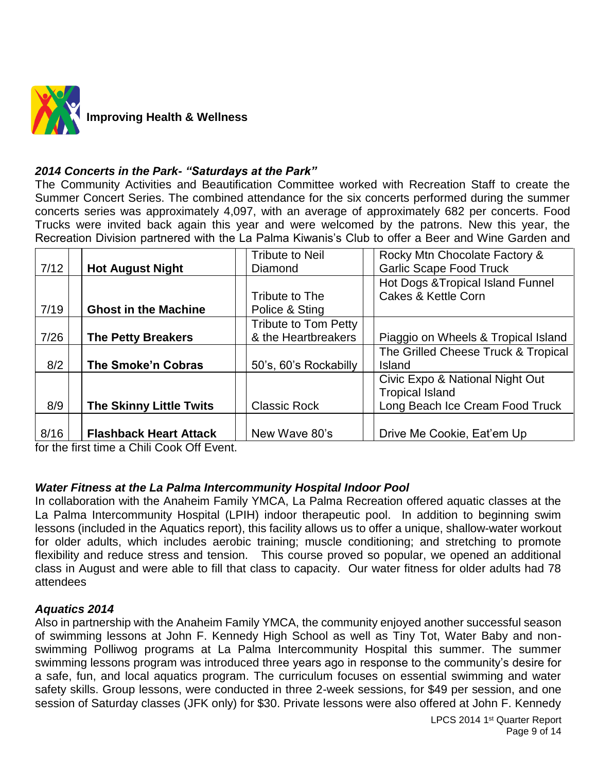

#### *2014 Concerts in the Park- "Saturdays at the Park"*

The Community Activities and Beautification Committee worked with Recreation Staff to create the Summer Concert Series. The combined attendance for the six concerts performed during the summer concerts series was approximately 4,097, with an average of approximately 682 per concerts. Food Trucks were invited back again this year and were welcomed by the patrons. New this year, the Recreation Division partnered with the La Palma Kiwanis's Club to offer a Beer and Wine Garden and

|      |                                | <b>Tribute to Neil</b> | Rocky Mtn Chocolate Factory &       |
|------|--------------------------------|------------------------|-------------------------------------|
| 7/12 | <b>Hot August Night</b>        | Diamond                | <b>Garlic Scape Food Truck</b>      |
|      |                                |                        | Hot Dogs & Tropical Island Funnel   |
|      |                                | Tribute to The         | Cakes & Kettle Corn                 |
| 7/19 | <b>Ghost in the Machine</b>    | Police & Sting         |                                     |
|      |                                | Tribute to Tom Petty   |                                     |
| 7/26 | <b>The Petty Breakers</b>      | & the Heartbreakers    | Piaggio on Wheels & Tropical Island |
|      |                                |                        | The Grilled Cheese Truck & Tropical |
| 8/2  | The Smoke'n Cobras             | 50's, 60's Rockabilly  | Island                              |
|      |                                |                        | Civic Expo & National Night Out     |
|      |                                |                        | <b>Tropical Island</b>              |
| 8/9  | <b>The Skinny Little Twits</b> | <b>Classic Rock</b>    | Long Beach Ice Cream Food Truck     |
|      |                                |                        |                                     |
| 8/16 | <b>Flashback Heart Attack</b>  | New Wave 80's          | Drive Me Cookie, Eat'em Up          |

for the first time a Chili Cook Off Event.

#### *Water Fitness at the La Palma Intercommunity Hospital Indoor Pool*

In collaboration with the Anaheim Family YMCA, La Palma Recreation offered aquatic classes at the La Palma Intercommunity Hospital (LPIH) indoor therapeutic pool. In addition to beginning swim lessons (included in the Aquatics report), this facility allows us to offer a unique, shallow-water workout for older adults, which includes aerobic training; muscle conditioning; and stretching to promote flexibility and reduce stress and tension. This course proved so popular, we opened an additional class in August and were able to fill that class to capacity. Our water fitness for older adults had 78 attendees

#### *Aquatics 2014*

Also in partnership with the Anaheim Family YMCA, the community enjoyed another successful season of swimming lessons at John F. Kennedy High School as well as Tiny Tot, Water Baby and nonswimming Polliwog programs at La Palma Intercommunity Hospital this summer. The summer swimming lessons program was introduced three years ago in response to the community's desire for a safe, fun, and local aquatics program. The curriculum focuses on essential swimming and water safety skills. Group lessons, were conducted in three 2-week sessions, for \$49 per session, and one session of Saturday classes (JFK only) for \$30. Private lessons were also offered at John F. Kennedy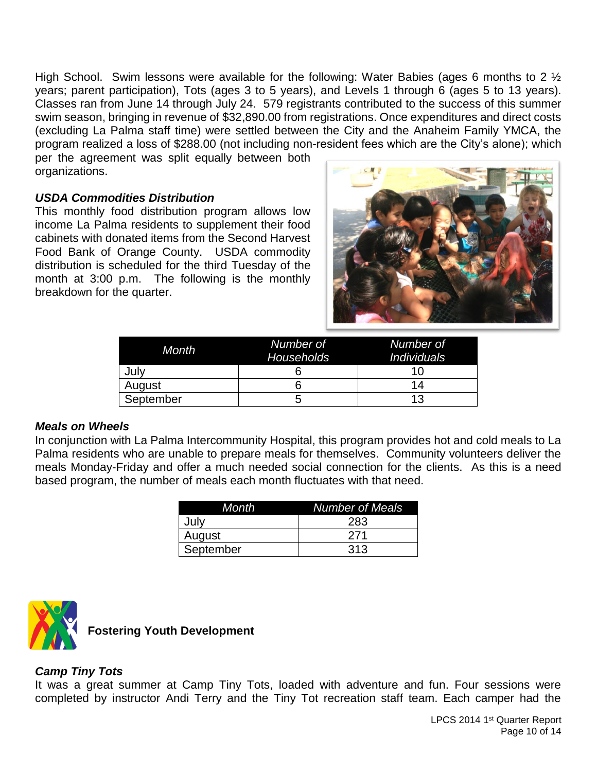High School. Swim lessons were available for the following: Water Babies (ages 6 months to 2  $\frac{1}{2}$ years; parent participation), Tots (ages 3 to 5 years), and Levels 1 through 6 (ages 5 to 13 years). Classes ran from June 14 through July 24. 579 registrants contributed to the success of this summer swim season, bringing in revenue of \$32,890.00 from registrations. Once expenditures and direct costs (excluding La Palma staff time) were settled between the City and the Anaheim Family YMCA, the program realized a loss of \$288.00 (not including non-resident fees which are the City's alone); which per the agreement was split equally between both

organizations.

#### *USDA Commodities Distribution*

This monthly food distribution program allows low income La Palma residents to supplement their food cabinets with donated items from the Second Harvest Food Bank of Orange County. USDA commodity distribution is scheduled for the third Tuesday of the month at 3:00 p.m. The following is the monthly breakdown for the quarter.



| Month     | Number of<br><b>Households</b> | Number of<br><i><b>Individuals</b></i> |
|-----------|--------------------------------|----------------------------------------|
| July      |                                |                                        |
| August    |                                | 14                                     |
| September |                                | 13                                     |

#### *Meals on Wheels*

In conjunction with La Palma Intercommunity Hospital, this program provides hot and cold meals to La Palma residents who are unable to prepare meals for themselves. Community volunteers deliver the meals Monday-Friday and offer a much needed social connection for the clients. As this is a need based program, the number of meals each month fluctuates with that need.

| Month     | <b>Number of Meals</b> |
|-----------|------------------------|
| July      | 283                    |
| August    | 271                    |
| September | 313                    |



**Fostering Youth Development**

#### *Camp Tiny Tots*

It was a great summer at Camp Tiny Tots, loaded with adventure and fun. Four sessions were completed by instructor Andi Terry and the Tiny Tot recreation staff team. Each camper had the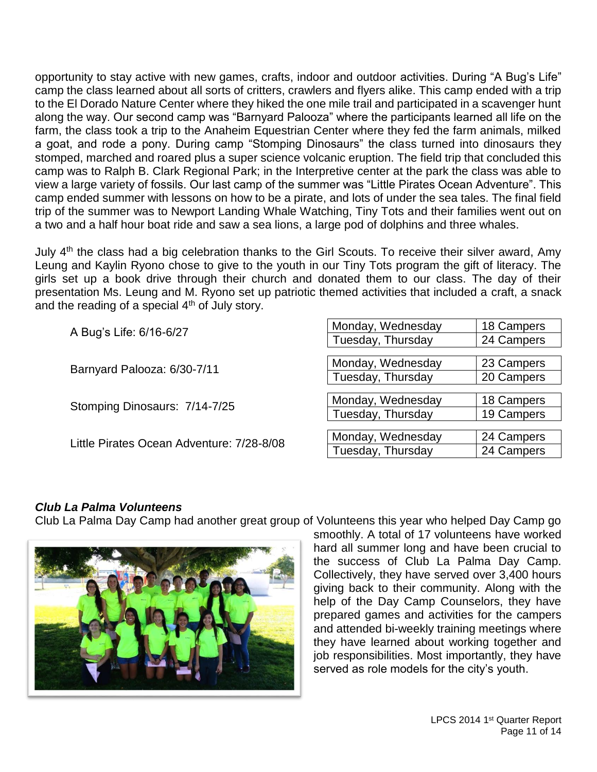opportunity to stay active with new games, crafts, indoor and outdoor activities. During "A Bug's Life" camp the class learned about all sorts of critters, crawlers and flyers alike. This camp ended with a trip to the El Dorado Nature Center where they hiked the one mile trail and participated in a scavenger hunt along the way. Our second camp was "Barnyard Palooza" where the participants learned all life on the farm, the class took a trip to the Anaheim Equestrian Center where they fed the farm animals, milked a goat, and rode a pony. During camp "Stomping Dinosaurs" the class turned into dinosaurs they stomped, marched and roared plus a super science volcanic eruption. The field trip that concluded this camp was to Ralph B. Clark Regional Park; in the Interpretive center at the park the class was able to view a large variety of fossils. Our last camp of the summer was "Little Pirates Ocean Adventure". This camp ended summer with lessons on how to be a pirate, and lots of under the sea tales. The final field trip of the summer was to Newport Landing Whale Watching, Tiny Tots and their families went out on a two and a half hour boat ride and saw a sea lions, a large pod of dolphins and three whales.

July 4<sup>th</sup> the class had a big celebration thanks to the Girl Scouts. To receive their silver award, Amy Leung and Kaylin Ryono chose to give to the youth in our Tiny Tots program the gift of literacy. The girls set up a book drive through their church and donated them to our class. The day of their presentation Ms. Leung and M. Ryono set up patriotic themed activities that included a craft, a snack and the reading of a special  $4<sup>th</sup>$  of July story.

| A Bug's Life: 6/16-6/27                   | Monday, Wednesday | 18 Campers |
|-------------------------------------------|-------------------|------------|
|                                           | Tuesday, Thursday | 24 Campers |
|                                           |                   |            |
| Barnyard Palooza: 6/30-7/11               | Monday, Wednesday | 23 Campers |
|                                           | Tuesday, Thursday | 20 Campers |
|                                           |                   |            |
| Stomping Dinosaurs: 7/14-7/25             | Monday, Wednesday | 18 Campers |
|                                           | Tuesday, Thursday | 19 Campers |
|                                           |                   |            |
| Little Pirates Ocean Adventure: 7/28-8/08 | Monday, Wednesday | 24 Campers |
|                                           | Tuesday, Thursday | 24 Campers |

#### *Club La Palma Volunteens*

Club La Palma Day Camp had another great group of Volunteens this year who helped Day Camp go



smoothly. A total of 17 volunteens have worked hard all summer long and have been crucial to the success of Club La Palma Day Camp. Collectively, they have served over 3,400 hours giving back to their community. Along with the help of the Day Camp Counselors, they have prepared games and activities for the campers and attended bi-weekly training meetings where they have learned about working together and job responsibilities. Most importantly, they have served as role models for the city's youth.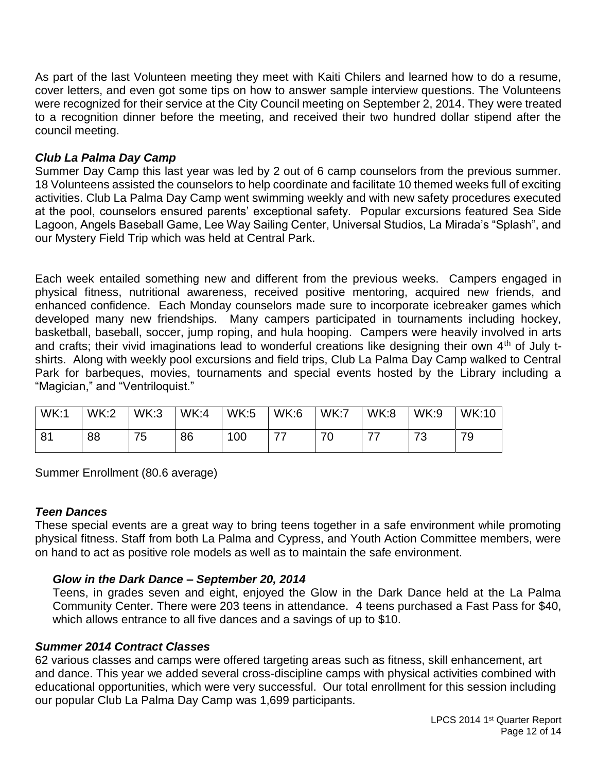As part of the last Volunteen meeting they meet with Kaiti Chilers and learned how to do a resume, cover letters, and even got some tips on how to answer sample interview questions. The Volunteens were recognized for their service at the City Council meeting on September 2, 2014. They were treated to a recognition dinner before the meeting, and received their two hundred dollar stipend after the council meeting.

#### *Club La Palma Day Camp*

Summer Day Camp this last year was led by 2 out of 6 camp counselors from the previous summer. 18 Volunteens assisted the counselors to help coordinate and facilitate 10 themed weeks full of exciting activities. Club La Palma Day Camp went swimming weekly and with new safety procedures executed at the pool, counselors ensured parents' exceptional safety. Popular excursions featured Sea Side Lagoon, Angels Baseball Game, Lee Way Sailing Center, Universal Studios, La Mirada's "Splash", and our Mystery Field Trip which was held at Central Park.

Each week entailed something new and different from the previous weeks. Campers engaged in physical fitness, nutritional awareness, received positive mentoring, acquired new friends, and enhanced confidence. Each Monday counselors made sure to incorporate icebreaker games which developed many new friendships. Many campers participated in tournaments including hockey, basketball, baseball, soccer, jump roping, and hula hooping. Campers were heavily involved in arts and crafts; their vivid imaginations lead to wonderful creations like designing their own 4<sup>th</sup> of July tshirts. Along with weekly pool excursions and field trips, Club La Palma Day Camp walked to Central Park for barbeques, movies, tournaments and special events hosted by the Library including a "Magician," and "Ventriloquist."

| WK:1           | <b>WK:2</b> | WK:3    | <b>WK:4</b> | <b>WK:5</b> | <b>WK:6</b> | <b>WK:7</b> | <b>WK:8</b> | <b>WK:9</b>    | <b>WK:10</b> |
|----------------|-------------|---------|-------------|-------------|-------------|-------------|-------------|----------------|--------------|
| 8 <sup>′</sup> | 88          | フ斥<br>N | 86          | 100         | ラフ          | 70<br>ັບ    | —           | 72<br><b>N</b> | 70           |

Summer Enrollment (80.6 average)

#### *Teen Dances*

These special events are a great way to bring teens together in a safe environment while promoting physical fitness. Staff from both La Palma and Cypress, and Youth Action Committee members, were on hand to act as positive role models as well as to maintain the safe environment.

#### *Glow in the Dark Dance – September 20, 2014*

Teens, in grades seven and eight, enjoyed the Glow in the Dark Dance held at the La Palma Community Center. There were 203 teens in attendance. 4 teens purchased a Fast Pass for \$40, which allows entrance to all five dances and a savings of up to \$10.

#### *Summer 2014 Contract Classes*

62 various classes and camps were offered targeting areas such as fitness, skill enhancement, art and dance. This year we added several cross-discipline camps with physical activities combined with educational opportunities, which were very successful. Our total enrollment for this session including our popular Club La Palma Day Camp was 1,699 participants.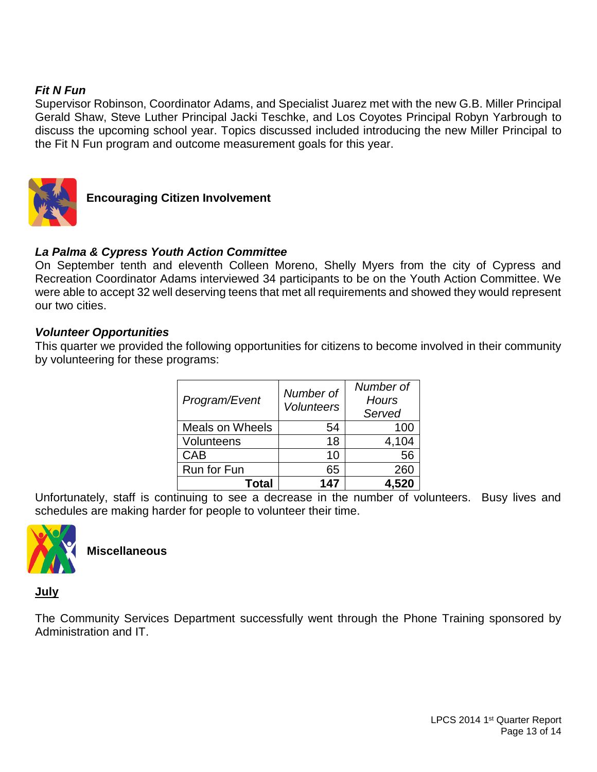#### *Fit N Fun*

Supervisor Robinson, Coordinator Adams, and Specialist Juarez met with the new G.B. Miller Principal Gerald Shaw, Steve Luther Principal Jacki Teschke, and Los Coyotes Principal Robyn Yarbrough to discuss the upcoming school year. Topics discussed included introducing the new Miller Principal to the Fit N Fun program and outcome measurement goals for this year.



**Encouraging Citizen Involvement**

#### *La Palma & Cypress Youth Action Committee*

On September tenth and eleventh Colleen Moreno, Shelly Myers from the city of Cypress and Recreation Coordinator Adams interviewed 34 participants to be on the Youth Action Committee. We were able to accept 32 well deserving teens that met all requirements and showed they would represent our two cities.

#### *Volunteer Opportunities*

This quarter we provided the following opportunities for citizens to become involved in their community by volunteering for these programs:

| Program/Event          | Number of<br><b>Volunteers</b> | Number of<br><b>Hours</b><br>Served |
|------------------------|--------------------------------|-------------------------------------|
| <b>Meals on Wheels</b> | 54                             | 100                                 |
| Volunteens             | 18                             | 4,104                               |
| <b>CAB</b>             | 10                             | 56                                  |
| Run for Fun            | 65                             | 260                                 |
| <b>Total</b>           | 147                            | 4,520                               |

Unfortunately, staff is continuing to see a decrease in the number of volunteers. Busy lives and schedules are making harder for people to volunteer their time.



**Miscellaneous**

**July**

The Community Services Department successfully went through the Phone Training sponsored by Administration and IT.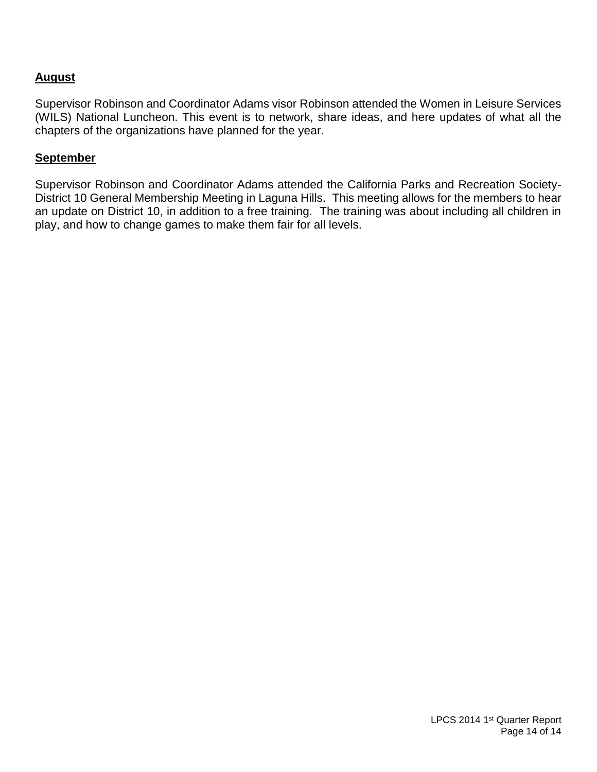#### **August**

Supervisor Robinson and Coordinator Adams visor Robinson attended the Women in Leisure Services (WILS) National Luncheon. This event is to network, share ideas, and here updates of what all the chapters of the organizations have planned for the year.

#### **September**

Supervisor Robinson and Coordinator Adams attended the California Parks and Recreation Society-District 10 General Membership Meeting in Laguna Hills. This meeting allows for the members to hear an update on District 10, in addition to a free training. The training was about including all children in play, and how to change games to make them fair for all levels.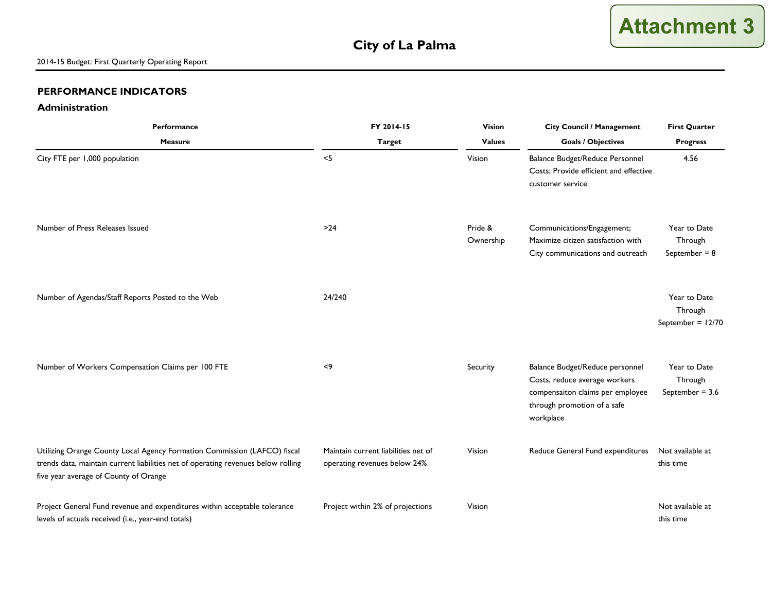#### **PERFORMANCE INDICATORS**

#### **Administration**

| Performance                                                                                                                                                                                            | FY 2014-15<br><b>Vision</b><br><b>City Council / Management</b>     | <b>First Quarter</b> |                                                                                                                                                  |                                                |
|--------------------------------------------------------------------------------------------------------------------------------------------------------------------------------------------------------|---------------------------------------------------------------------|----------------------|--------------------------------------------------------------------------------------------------------------------------------------------------|------------------------------------------------|
| <b>Measure</b>                                                                                                                                                                                         | <b>Target</b>                                                       | <b>Values</b>        | <b>Goals / Objectives</b>                                                                                                                        | <b>Progress</b>                                |
| City FTE per 1,000 population                                                                                                                                                                          | $<$ 5                                                               | Vision               | Balance Budget/Reduce Personnel<br>Costs; Provide efficient and effective<br>customer service                                                    | 4.56                                           |
| Number of Press Releases Issued                                                                                                                                                                        | $>24$                                                               | Pride &<br>Ownership | Communications/Engagement;<br>Maximize citizen satisfaction with<br>City communications and outreach                                             | Year to Date<br>Through<br>September = $8$     |
| Number of Agendas/Staff Reports Posted to the Web                                                                                                                                                      | 24/240                                                              |                      |                                                                                                                                                  | Year to Date<br>Through<br>September = $12/70$ |
| Number of Workers Compensation Claims per 100 FTE                                                                                                                                                      | < 9                                                                 | Security             | Balance Budget/Reduce personnel<br>Costs, reduce average workers<br>compensaiton claims per employee<br>through promotion of a safe<br>workplace | Year to Date<br>Through<br>September = $3.6$   |
| Utilizing Orange County Local Agency Formation Commission (LAFCO) fiscal<br>trends data, maintain current liabilities net of operating revenues below rolling<br>five year average of County of Orange | Maintain current liabilities net of<br>operating revenues below 24% | Vision               | Reduce General Fund expenditures                                                                                                                 | Not available at<br>this time                  |
| Project General Fund revenue and expenditures within acceptable tolerance<br>levels of actuals received (i.e., year-end totals)                                                                        | Project within 2% of projections                                    | Vision               |                                                                                                                                                  | Not available at<br>this time                  |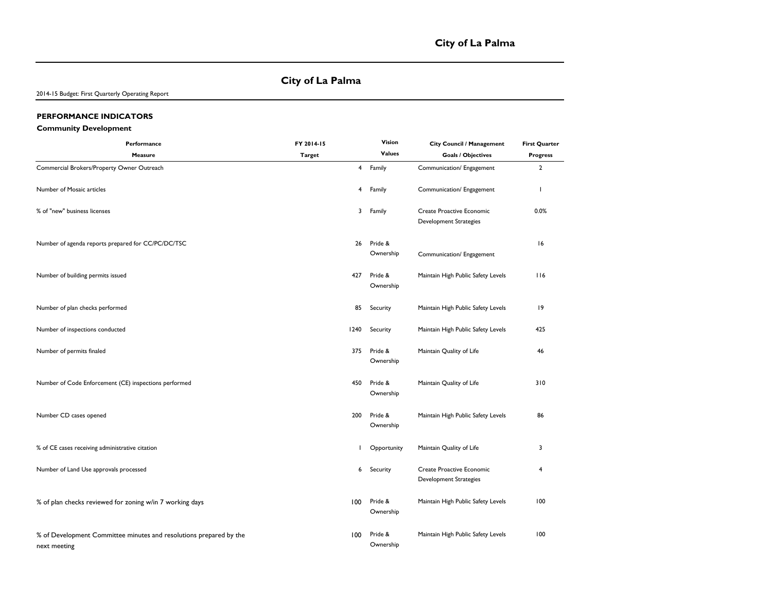#### **City of La Palma**

2014-15 Budget: First Quarterly Operating Report

#### **PERFORMANCE INDICATORS**

#### **Community Development**

| Performance                                                                        | FY 2014-15    |                | Vision               | City Council / Management                           | <b>First Quarter</b> |
|------------------------------------------------------------------------------------|---------------|----------------|----------------------|-----------------------------------------------------|----------------------|
| Measure                                                                            | <b>Target</b> |                | <b>Values</b>        | <b>Goals / Objectives</b>                           | <b>Progress</b>      |
| Commercial Brokers/Property Owner Outreach                                         |               | $\overline{4}$ | Family               | Communication/ Engagement                           | $\overline{2}$       |
| Number of Mosaic articles                                                          |               | 4              | Family               | Communication/ Engagement                           | T                    |
| % of "new" business licenses                                                       |               | 3              | Family               | Create Proactive Economic<br>Development Strategies | 0.0%                 |
| Number of agenda reports prepared for CC/PC/DC/TSC                                 |               | 26             | Pride &<br>Ownership | Communication/ Engagement                           | 16                   |
| Number of building permits issued                                                  |               | 427            | Pride &<br>Ownership | Maintain High Public Safety Levels                  | 116                  |
| Number of plan checks performed                                                    |               | 85             | Security             | Maintain High Public Safety Levels                  | 19                   |
| Number of inspections conducted                                                    |               | 1240           | Security             | Maintain High Public Safety Levels                  | 425                  |
| Number of permits finaled                                                          |               | 375            | Pride &<br>Ownership | Maintain Quality of Life                            | 46                   |
| Number of Code Enforcement (CE) inspections performed                              |               | 450            | Pride &<br>Ownership | Maintain Quality of Life                            | 310                  |
| Number CD cases opened                                                             |               | 200            | Pride &<br>Ownership | Maintain High Public Safety Levels                  | 86                   |
| % of CE cases receiving administrative citation                                    |               |                | Opportunity          | Maintain Quality of Life                            | 3                    |
| Number of Land Use approvals processed                                             |               | 6              | Security             | Create Proactive Economic<br>Development Strategies | 4                    |
| % of plan checks reviewed for zoning w/in 7 working days                           |               | 100            | Pride &<br>Ownership | Maintain High Public Safety Levels                  | 100                  |
| % of Development Committee minutes and resolutions prepared by the<br>next meeting |               | 100            | Pride &<br>Ownership | Maintain High Public Safety Levels                  | 100                  |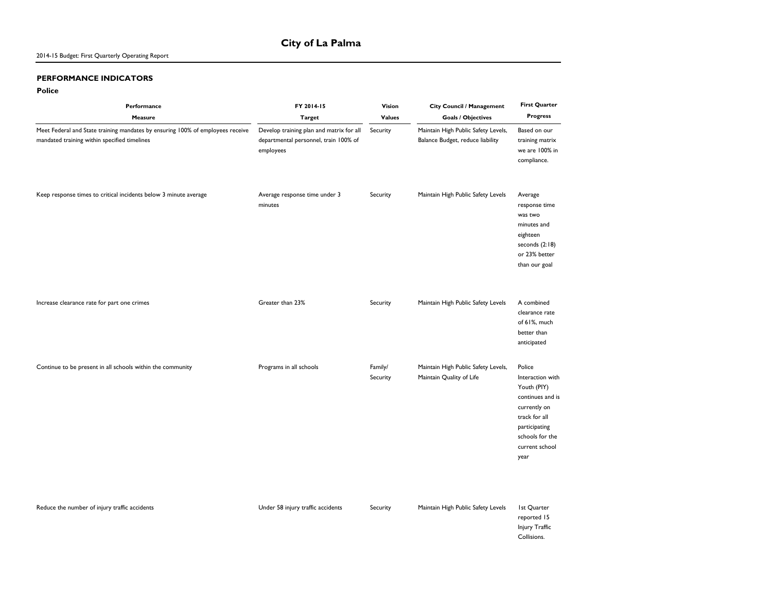#### 2014-15 Budget: First Quarterly Operating Report

#### **PERFORMANCE INDICATORS**

#### **Police**

| Performance<br>Measure                                                                                                         | FY 2014-15<br><b>Target</b>                                                                    | Vision<br>Values    | City Council / Management<br><b>Goals / Objectives</b>                  | <b>First Quarter</b><br><b>Progress</b>                                                                                                                      |
|--------------------------------------------------------------------------------------------------------------------------------|------------------------------------------------------------------------------------------------|---------------------|-------------------------------------------------------------------------|--------------------------------------------------------------------------------------------------------------------------------------------------------------|
| Meet Federal and State training mandates by ensuring 100% of employees receive<br>mandated training within specified timelines | Develop training plan and matrix for all<br>departmental personnel, train 100% of<br>employees | Security            | Maintain High Public Safety Levels,<br>Balance Budget, reduce liability | Based on our<br>training matrix<br>we are 100% in<br>compliance.                                                                                             |
| Keep response times to critical incidents below 3 minute average                                                               | Average response time under 3<br>minutes                                                       | Security            | Maintain High Public Safety Levels                                      | Average<br>response time<br>was two<br>minutes and<br>eighteen<br>seconds $(2:18)$<br>or 23% better<br>than our goal                                         |
| Increase clearance rate for part one crimes                                                                                    | Greater than 23%                                                                               | Security            | Maintain High Public Safety Levels                                      | A combined<br>clearance rate<br>of 61%, much<br>better than<br>anticipated                                                                                   |
| Continue to be present in all schools within the community                                                                     | Programs in all schools                                                                        | Family/<br>Security | Maintain High Public Safety Levels,<br>Maintain Quality of Life         | Police<br>Interaction with<br>Youth (PIY)<br>continues and is<br>currently on<br>track for all<br>participating<br>schools for the<br>current school<br>year |
| Reduce the number of injury traffic accidents                                                                                  | Under 58 injury traffic accidents                                                              | Security            | Maintain High Public Safety Levels                                      | <b>Ist Quarter</b><br>reported 15<br>Injury Traffic<br>Collisions.                                                                                           |